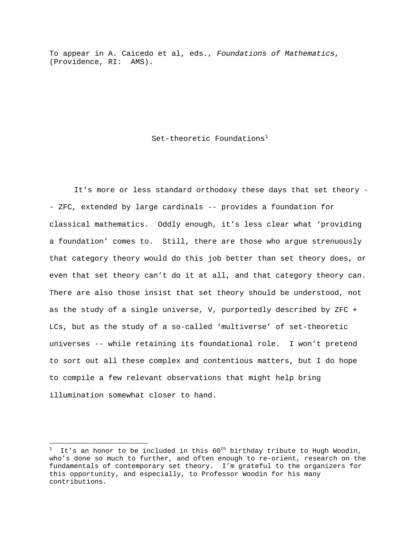To appear in A. Caicedo et al, eds., *Foundations of Mathematics*, (Providence, RI: AMS).

Set-theoretic Foundations<sup>[1](#page-0-0)</sup>

It's more or less standard orthodoxy these days that set theory - - ZFC, extended by large cardinals -- provides a foundation for classical mathematics. Oddly enough, it's less clear what 'providing a foundation' comes to. Still, there are those who argue strenuously that category theory would do this job better than set theory does, or even that set theory can't do it at all, and that category theory can. There are also those insist that set theory should be understood, not as the study of a single universe, V, purportedly described by ZFC + LCs, but as the study of a so-called 'multiverse' of set-theoretic universes -- while retaining its foundational role. I won't pretend to sort out all these complex and contentious matters, but I do hope to compile a few relevant observations that might help bring illumination somewhat closer to hand.

 $\overline{a}$ 

<span id="page-0-0"></span> $1$  It's an honor to be included in this  $60^{\text{th}}$  birthday tribute to Hugh Woodin, who's done so much to further, and often enough to re-orient, research on the fundamentals of contemporary set theory. I'm grateful to the organizers for this opportunity, and especially, to Professor Woodin for his many contributions.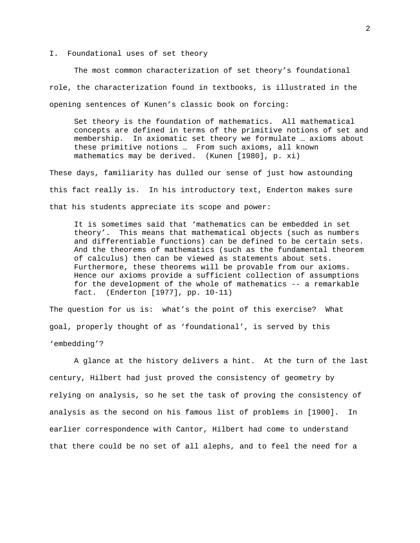I. Foundational uses of set theory

The most common characterization of set theory's foundational role, the characterization found in textbooks, is illustrated in the opening sentences of Kunen's classic book on forcing:

Set theory is the foundation of mathematics. All mathematical concepts are defined in terms of the primitive notions of set and membership. In axiomatic set theory we formulate … axioms about these primitive notions … From such axioms, all known mathematics may be derived. (Kunen [1980], p. xi)

These days, familiarity has dulled our sense of just how astounding this fact really is. In his introductory text, Enderton makes sure that his students appreciate its scope and power:

It is sometimes said that 'mathematics can be embedded in set theory'. This means that mathematical objects (such as numbers and differentiable functions) can be defined to be certain sets. And the theorems of mathematics (such as the fundamental theorem of calculus) then can be viewed as statements about sets. Furthermore, these theorems will be provable from our axioms. Hence our axioms provide a sufficient collection of assumptions for the development of the whole of mathematics -- a remarkable fact. (Enderton [1977], pp. 10-11)

The question for us is: what's the point of this exercise? What goal, properly thought of as 'foundational', is served by this 'embedding'?

A glance at the history delivers a hint. At the turn of the last century, Hilbert had just proved the consistency of geometry by relying on analysis, so he set the task of proving the consistency of analysis as the second on his famous list of problems in [1900]. In earlier correspondence with Cantor, Hilbert had come to understand that there could be no set of all alephs, and to feel the need for a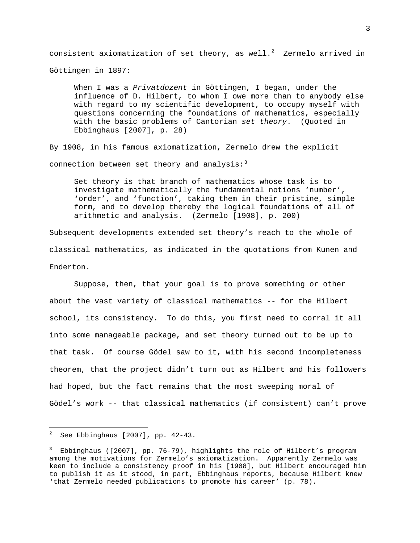consistent axiomatization of set theory, as well. $^2$  $^2$  Zermelo arrived in Göttingen in 1897:

When I was a *Privatdozent* in Göttingen, I began, under the influence of D. Hilbert, to whom I owe more than to anybody else with regard to my scientific development, to occupy myself with questions concerning the foundations of mathematics, especially with the basic problems of Cantorian *set theory*. (Quoted in Ebbinghaus [2007], p. 28)

By 1908, in his famous axiomatization, Zermelo drew the explicit connection between set theory and analysis: $3$ 

Set theory is that branch of mathematics whose task is to investigate mathematically the fundamental notions 'number', 'order', and 'function', taking them in their pristine, simple form, and to develop thereby the logical foundations of all of arithmetic and analysis. (Zermelo [1908], p. 200)

Subsequent developments extended set theory's reach to the whole of classical mathematics, as indicated in the quotations from Kunen and Enderton.

Suppose, then, that your goal is to prove something or other about the vast variety of classical mathematics -- for the Hilbert school, its consistency. To do this, you first need to corral it all into some manageable package, and set theory turned out to be up to that task. Of course Gödel saw to it, with his second incompleteness theorem, that the project didn't turn out as Hilbert and his followers had hoped, but the fact remains that the most sweeping moral of Gödel's work -- that classical mathematics (if consistent) can't prove

<span id="page-2-0"></span> 2 See Ebbinghaus [2007], pp. 42-43.

<span id="page-2-1"></span><sup>&</sup>lt;sup>3</sup> Ebbinghaus ([2007], pp. 76-79), highlights the role of Hilbert's program among the motivations for Zermelo's axiomatization. Apparently Zermelo was keen to include a consistency proof in his [1908], but Hilbert encouraged him to publish it as it stood, in part, Ebbinghaus reports, because Hilbert knew 'that Zermelo needed publications to promote his career' (p. 78).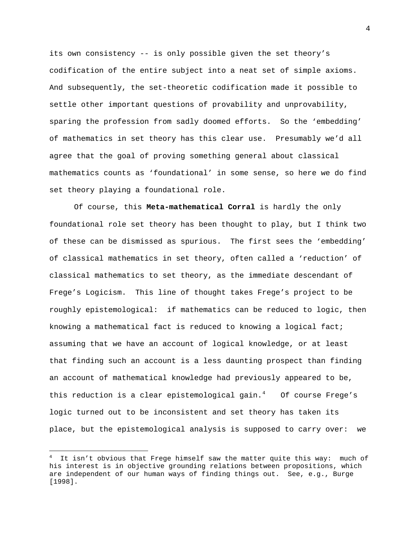its own consistency -- is only possible given the set theory's codification of the entire subject into a neat set of simple axioms. And subsequently, the set-theoretic codification made it possible to settle other important questions of provability and unprovability, sparing the profession from sadly doomed efforts. So the 'embedding' of mathematics in set theory has this clear use. Presumably we'd all agree that the goal of proving something general about classical mathematics counts as 'foundational' in some sense, so here we do find set theory playing a foundational role.

Of course, this **Meta-mathematical Corral** is hardly the only foundational role set theory has been thought to play, but I think two of these can be dismissed as spurious. The first sees the 'embedding' of classical mathematics in set theory, often called a 'reduction' of classical mathematics to set theory, as the immediate descendant of Frege's Logicism. This line of thought takes Frege's project to be roughly epistemological: if mathematics can be reduced to logic, then knowing a mathematical fact is reduced to knowing a logical fact; assuming that we have an account of logical knowledge, or at least that finding such an account is a less daunting prospect than finding an account of mathematical knowledge had previously appeared to be, this reduction is a clear epistemological gain.<sup>[4](#page-3-0)</sup> Of course Frege's logic turned out to be inconsistent and set theory has taken its place, but the epistemological analysis is supposed to carry over: we

 $\overline{1}$ 

4

<span id="page-3-0"></span><sup>&</sup>lt;sup>4</sup> It isn't obvious that Frege himself saw the matter quite this way: much of his interest is in objective grounding relations between propositions, which are independent of our human ways of finding things out. See, e.g., Burge [1998].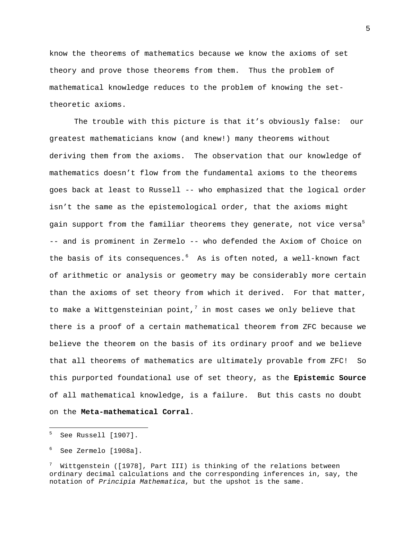know the theorems of mathematics because we know the axioms of set theory and prove those theorems from them. Thus the problem of mathematical knowledge reduces to the problem of knowing the settheoretic axioms.

The trouble with this picture is that it's obviously false: our greatest mathematicians know (and knew!) many theorems without deriving them from the axioms. The observation that our knowledge of mathematics doesn't flow from the fundamental axioms to the theorems goes back at least to Russell -- who emphasized that the logical order isn't the same as the epistemological order, that the axioms might gain support from the familiar theorems they generate, not vice versa<sup>[5](#page-4-0)</sup> -- and is prominent in Zermelo -- who defended the Axiom of Choice on the basis of its consequences.<sup>[6](#page-4-1)</sup> As is often noted, a well-known fact of arithmetic or analysis or geometry may be considerably more certain than the axioms of set theory from which it derived. For that matter, to make a Wittgensteinian point,<sup>[7](#page-4-2)</sup> in most cases we only believe that there is a proof of a certain mathematical theorem from ZFC because we believe the theorem on the basis of its ordinary proof and we believe that all theorems of mathematics are ultimately provable from ZFC! So this purported foundational use of set theory, as the **Epistemic Source**  of all mathematical knowledge, is a failure. But this casts no doubt on the **Meta-mathematical Corral**.

É

<span id="page-4-0"></span><sup>5</sup> See Russell [1907].

<span id="page-4-1"></span><sup>6</sup> See Zermelo [1908a].

<span id="page-4-2"></span><sup>&</sup>lt;sup>7</sup> Wittgenstein ([1978], Part III) is thinking of the relations between ordinary decimal calculations and the corresponding inferences in, say, the notation of *Principia Mathematica*, but the upshot is the same.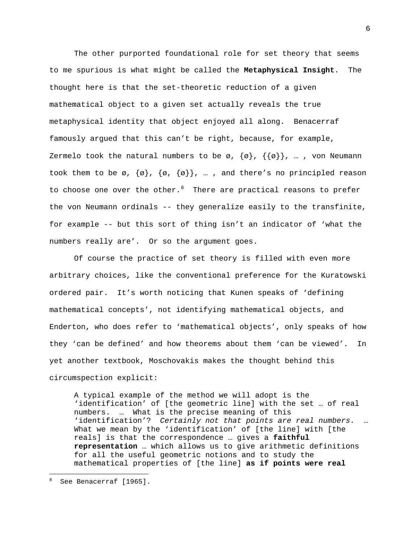The other purported foundational role for set theory that seems to me spurious is what might be called the **Metaphysical Insight**. The thought here is that the set-theoretic reduction of a given mathematical object to a given set actually reveals the true metaphysical identity that object enjoyed all along. Benacerraf famously argued that this can't be right, because, for example, Zermelo took the natural numbers to be ø,  $\{\varnothing\}$ ,  $\{\{\varnothing\}\}$ , ..., von Neumann took them to be ø,  $\{\emptyset\}$ ,  $\{\emptyset\}$ ,  $\{\emptyset\}$ , ..., and there's no principled reason to choose one over the other.<sup>[8](#page-5-0)</sup> There are practical reasons to prefer the von Neumann ordinals -- they generalize easily to the transfinite, for example -- but this sort of thing isn't an indicator of 'what the numbers really are'. Or so the argument goes.

Of course the practice of set theory is filled with even more arbitrary choices, like the conventional preference for the Kuratowski ordered pair. It's worth noticing that Kunen speaks of 'defining mathematical concepts', not identifying mathematical objects, and Enderton, who does refer to 'mathematical objects', only speaks of how they 'can be defined' and how theorems about them 'can be viewed'. In yet another textbook, Moschovakis makes the thought behind this circumspection explicit:

A typical example of the method we will adopt is the 'identification' of [the geometric line] with the set … of real numbers. … What is the precise meaning of this 'identification'? *Certainly not that points are real numbers.* … What we mean by the 'identification' of [the line] with [the reals] is that the correspondence … gives a **faithful representation** … which allows us to give arithmetic definitions for all the useful geometric notions and to study the mathematical properties of [the line] **as if points were real** 

<span id="page-5-0"></span>t 8 See Benacerraf [1965].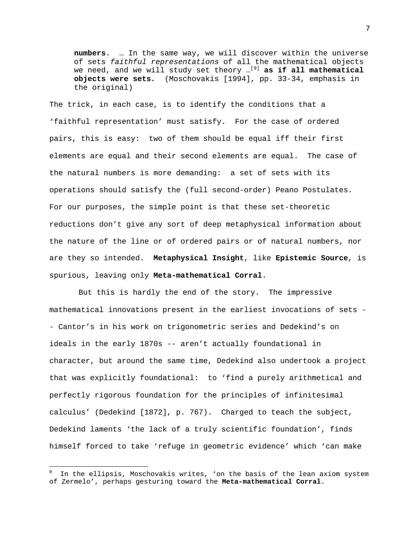**numbers**. … In the same way, we will discover within the universe of sets *faithful representations* of all the mathematical objects we need, and we will study set theory …[[9](#page-6-0)] **as if all mathematical objects were sets***.* (Moschovakis [1994], pp. 33-34, emphasis in the original)

The trick, in each case, is to identify the conditions that a 'faithful representation' must satisfy. For the case of ordered pairs, this is easy: two of them should be equal iff their first elements are equal and their second elements are equal. The case of the natural numbers is more demanding: a set of sets with its operations should satisfy the (full second-order) Peano Postulates. For our purposes, the simple point is that these set-theoretic reductions don't give any sort of deep metaphysical information about the nature of the line or of ordered pairs or of natural numbers, nor are they so intended. **Metaphysical Insight**, like **Epistemic Source**, is spurious, leaving only **Meta-mathematical Corral**.

But this is hardly the end of the story. The impressive mathematical innovations present in the earliest invocations of sets - - Cantor's in his work on trigonometric series and Dedekind's on ideals in the early 1870s -- aren't actually foundational in character, but around the same time, Dedekind also undertook a project that was explicitly foundational: to 'find a purely arithmetical and perfectly rigorous foundation for the principles of infinitesimal calculus' (Dedekind [1872], p. 767). Charged to teach the subject, Dedekind laments 'the lack of a truly scientific foundation', finds himself forced to take 'refuge in geometric evidence' which 'can make

<span id="page-6-0"></span>t 9 In the ellipsis, Moschovakis writes, 'on the basis of the lean axiom system of Zermelo', perhaps gesturing toward the **Meta-mathematical Corral**.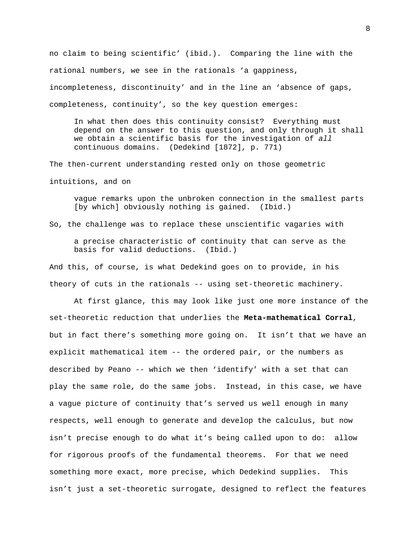no claim to being scientific' (ibid.). Comparing the line with the rational numbers, we see in the rationals 'a gappiness, incompleteness, discontinuity' and in the line an 'absence of gaps, completeness, continuity', so the key question emerges:

In what then does this continuity consist? Everything must depend on the answer to this question, and only through it shall we obtain a scientific basis for the investigation of *all* continuous domains. (Dedekind [1872], p. 771)

The then-current understanding rested only on those geometric

intuitions, and on

vague remarks upon the unbroken connection in the smallest parts [by which] obviously nothing is gained. (Ibid.)

So, the challenge was to replace these unscientific vagaries with a precise characteristic of continuity that can serve as the basis for valid deductions. (Ibid.)

And this, of course, is what Dedekind goes on to provide, in his theory of cuts in the rationals -- using set-theoretic machinery.

At first glance, this may look like just one more instance of the set-theoretic reduction that underlies the **Meta-mathematical Corral**, but in fact there's something more going on. It isn't that we have an explicit mathematical item -- the ordered pair, or the numbers as described by Peano -- which we then 'identify' with a set that can play the same role, do the same jobs. Instead, in this case, we have a vague picture of continuity that's served us well enough in many respects, well enough to generate and develop the calculus, but now isn't precise enough to do what it's being called upon to do: allow for rigorous proofs of the fundamental theorems. For that we need something more exact, more precise, which Dedekind supplies. This isn't just a set-theoretic surrogate, designed to reflect the features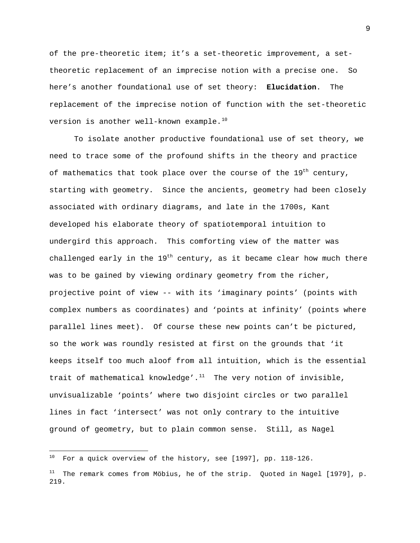of the pre-theoretic item; it's a set-theoretic improvement, a settheoretic replacement of an imprecise notion with a precise one. So here's another foundational use of set theory: **Elucidation**. The replacement of the imprecise notion of function with the set-theoretic version is another well-known example. $^{10}$  $^{10}$  $^{10}$ 

To isolate another productive foundational use of set theory, we need to trace some of the profound shifts in the theory and practice of mathematics that took place over the course of the 19<sup>th</sup> century, starting with geometry. Since the ancients, geometry had been closely associated with ordinary diagrams, and late in the 1700s, Kant developed his elaborate theory of spatiotemporal intuition to undergird this approach. This comforting view of the matter was challenged early in the  $19^{th}$  century, as it became clear how much there was to be gained by viewing ordinary geometry from the richer, projective point of view -- with its 'imaginary points' (points with complex numbers as coordinates) and 'points at infinity' (points where parallel lines meet). Of course these new points can't be pictured, so the work was roundly resisted at first on the grounds that 'it keeps itself too much aloof from all intuition, which is the essential trait of mathematical knowledge'.<sup>11</sup> The very notion of invisible, unvisualizable 'points' where two disjoint circles or two parallel lines in fact 'intersect' was not only contrary to the intuitive ground of geometry, but to plain common sense. Still, as Nagel

 $\overline{\phantom{a}}$ 

<span id="page-8-0"></span> $10$  For a quick overview of the history, see [1997], pp. 118-126.

<span id="page-8-1"></span> $11$  The remark comes from Möbius, he of the strip. Quoted in Nagel [1979], p. 219.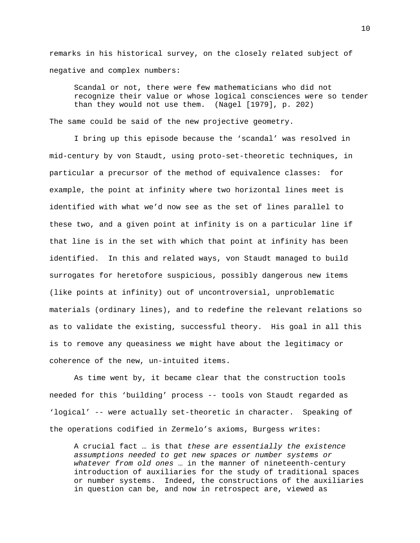remarks in his historical survey, on the closely related subject of negative and complex numbers:

Scandal or not, there were few mathematicians who did not recognize their value or whose logical consciences were so tender than they would not use them. (Nagel [1979], p. 202)

The same could be said of the new projective geometry.

I bring up this episode because the 'scandal' was resolved in mid-century by von Staudt, using proto-set-theoretic techniques, in particular a precursor of the method of equivalence classes: for example, the point at infinity where two horizontal lines meet is identified with what we'd now see as the set of lines parallel to these two, and a given point at infinity is on a particular line if that line is in the set with which that point at infinity has been identified. In this and related ways, von Staudt managed to build surrogates for heretofore suspicious, possibly dangerous new items (like points at infinity) out of uncontroversial, unproblematic materials (ordinary lines), and to redefine the relevant relations so as to validate the existing, successful theory. His goal in all this is to remove any queasiness we might have about the legitimacy or coherence of the new, un-intuited items.

As time went by, it became clear that the construction tools needed for this 'building' process -- tools von Staudt regarded as 'logical' -- were actually set-theoretic in character. Speaking of the operations codified in Zermelo's axioms, Burgess writes:

A crucial fact … is that *these are essentially the existence assumptions needed to get new spaces or number systems or whatever from old ones* … in the manner of nineteenth-century introduction of auxiliaries for the study of traditional spaces or number systems. Indeed, the constructions of the auxiliaries in question can be, and now in retrospect are, viewed as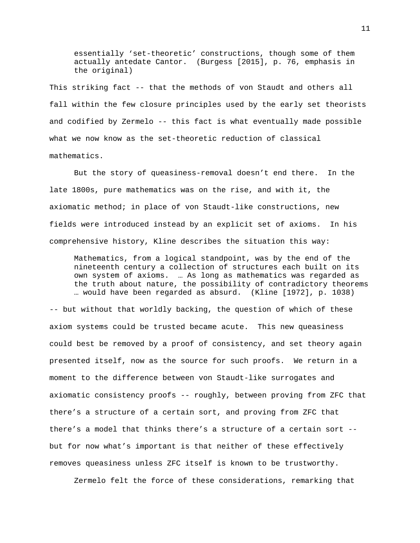essentially 'set-theoretic' constructions, though some of them actually antedate Cantor. (Burgess [2015], p. 76, emphasis in the original)

This striking fact -- that the methods of von Staudt and others all fall within the few closure principles used by the early set theorists and codified by Zermelo -- this fact is what eventually made possible what we now know as the set-theoretic reduction of classical mathematics.

But the story of queasiness-removal doesn't end there. In the late 1800s, pure mathematics was on the rise, and with it, the axiomatic method; in place of von Staudt-like constructions, new fields were introduced instead by an explicit set of axioms. In his comprehensive history, Kline describes the situation this way:

Mathematics, from a logical standpoint, was by the end of the nineteenth century a collection of structures each built on its own system of axioms. … As long as mathematics was regarded as the truth about nature, the possibility of contradictory theorems … would have been regarded as absurd. (Kline [1972], p. 1038)

-- but without that worldly backing, the question of which of these axiom systems could be trusted became acute. This new queasiness could best be removed by a proof of consistency, and set theory again presented itself, now as the source for such proofs. We return in a moment to the difference between von Staudt-like surrogates and axiomatic consistency proofs -- roughly, between proving from ZFC that there's a structure of a certain sort, and proving from ZFC that there's a model that thinks there's a structure of a certain sort - but for now what's important is that neither of these effectively removes queasiness unless ZFC itself is known to be trustworthy.

Zermelo felt the force of these considerations, remarking that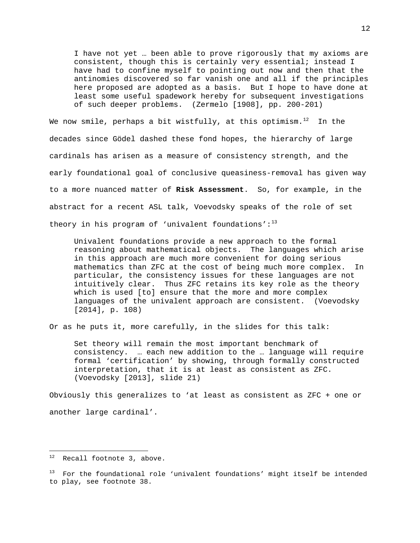I have not yet … been able to prove rigorously that my axioms are consistent, though this is certainly very essential; instead I have had to confine myself to pointing out now and then that the antinomies discovered so far vanish one and all if the principles here proposed are adopted as a basis. But I hope to have done at least some useful spadework hereby for subsequent investigations of such deeper problems. (Zermelo [1908], pp. 200-201)

We now smile, perhaps a bit wistfully, at this optimism.<sup>[12](#page-11-0)</sup> In the decades since Gödel dashed these fond hopes, the hierarchy of large cardinals has arisen as a measure of consistency strength, and the early foundational goal of conclusive queasiness-removal has given way to a more nuanced matter of **Risk Assessment**. So, for example, in the abstract for a recent ASL talk, Voevodsky speaks of the role of set theory in his program of 'univalent foundations': $13$ 

Univalent foundations provide a new approach to the formal reasoning about mathematical objects. The languages which arise in this approach are much more convenient for doing serious mathematics than ZFC at the cost of being much more complex. In particular, the consistency issues for these languages are not intuitively clear. Thus ZFC retains its key role as the theory which is used [to] ensure that the more and more complex languages of the univalent approach are consistent. (Voevodsky [2014], p. 108)

Or as he puts it, more carefully, in the slides for this talk:

Set theory will remain the most important benchmark of consistency. … each new addition to the … language will require formal 'certification' by showing, through formally constructed interpretation, that it is at least as consistent as ZFC. (Voevodsky [2013], slide 21)

Obviously this generalizes to 'at least as consistent as ZFC + one or another large cardinal'.

<span id="page-11-0"></span> $\overline{\phantom{a}}$  $12$  Recall footnote 3, above.

<span id="page-11-1"></span><sup>&</sup>lt;sup>13</sup> For the foundational role 'univalent foundations' might itself be intended to play, see footnote 38.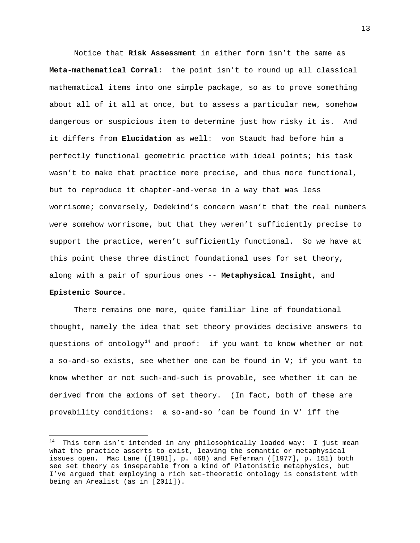Notice that **Risk Assessment** in either form isn't the same as **Meta-mathematical Corral**: the point isn't to round up all classical mathematical items into one simple package, so as to prove something about all of it all at once, but to assess a particular new, somehow dangerous or suspicious item to determine just how risky it is. And it differs from **Elucidation** as well: von Staudt had before him a perfectly functional geometric practice with ideal points; his task wasn't to make that practice more precise, and thus more functional, but to reproduce it chapter-and-verse in a way that was less worrisome; conversely, Dedekind's concern wasn't that the real numbers were somehow worrisome, but that they weren't sufficiently precise to support the practice, weren't sufficiently functional. So we have at this point these three distinct foundational uses for set theory, along with a pair of spurious ones -- **Metaphysical Insight**, and

# **Epistemic Source**.

There remains one more, quite familiar line of foundational thought, namely the idea that set theory provides decisive answers to questions of ontology<sup>[14](#page-12-0)</sup> and proof: if you want to know whether or not a so-and-so exists, see whether one can be found in V; if you want to know whether or not such-and-such is provable, see whether it can be derived from the axioms of set theory. (In fact, both of these are provability conditions: a so-and-so 'can be found in V' iff the

<span id="page-12-0"></span> $\overline{\phantom{a}}$  $^{14}$  This term isn't intended in any philosophically loaded way: I just mean what the practice asserts to exist, leaving the semantic or metaphysical issues open. Mac Lane ([1981], p. 468) and Feferman ([1977], p. 151) both see set theory as inseparable from a kind of Platonistic metaphysics, but I've argued that employing a rich set-theoretic ontology is consistent with being an Arealist (as in [2011]).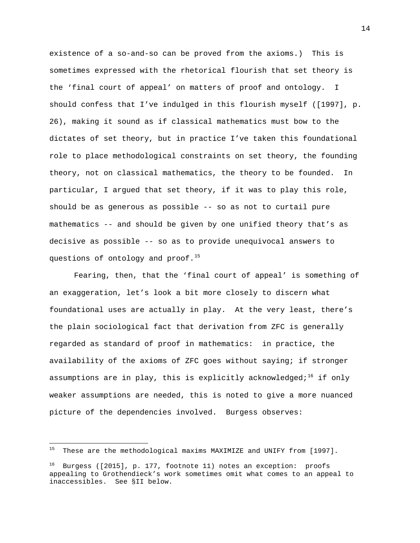existence of a so-and-so can be proved from the axioms.) This is sometimes expressed with the rhetorical flourish that set theory is the 'final court of appeal' on matters of proof and ontology. I should confess that I've indulged in this flourish myself ([1997], p. 26), making it sound as if classical mathematics must bow to the dictates of set theory, but in practice I've taken this foundational role to place methodological constraints on set theory, the founding theory, not on classical mathematics, the theory to be founded. In particular, I argued that set theory, if it was to play this role, should be as generous as possible -- so as not to curtail pure mathematics -- and should be given by one unified theory that's as decisive as possible -- so as to provide unequivocal answers to questions of ontology and proof. $15$ 

Fearing, then, that the 'final court of appeal' is something of an exaggeration, let's look a bit more closely to discern what foundational uses are actually in play. At the very least, there's the plain sociological fact that derivation from ZFC is generally regarded as standard of proof in mathematics: in practice, the availability of the axioms of ZFC goes without saying; if stronger assumptions are in play, this is explicitly acknowledged;<sup>[16](#page-13-1)</sup> if only weaker assumptions are needed, this is noted to give a more nuanced picture of the dependencies involved. Burgess observes:

<span id="page-13-0"></span><sup>15</sup> 15 These are the methodological maxims MAXIMIZE and UNIFY from [1997].

<span id="page-13-1"></span><sup>&</sup>lt;sup>16</sup> Burgess ([2015], p. 177, footnote 11) notes an exception: proofs appealing to Grothendieck's work sometimes omit what comes to an appeal to inaccessibles. See §II below.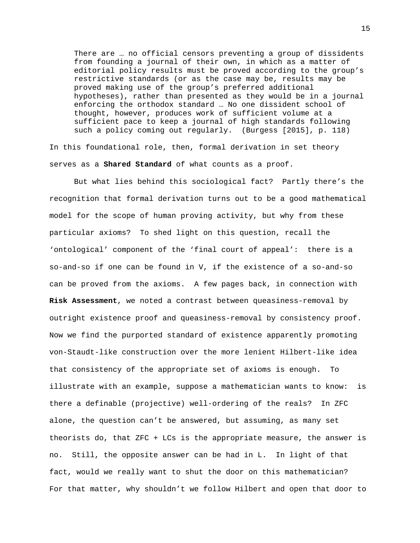There are … no official censors preventing a group of dissidents from founding a journal of their own, in which as a matter of editorial policy results must be proved according to the group's restrictive standards (or as the case may be, results may be proved making use of the group's preferred additional hypotheses), rather than presented as they would be in a journal enforcing the orthodox standard … No one dissident school of thought, however, produces work of sufficient volume at a sufficient pace to keep a journal of high standards following such a policy coming out regularly. (Burgess [2015], p. 118)

In this foundational role, then, formal derivation in set theory serves as a **Shared Standard** of what counts as a proof.

But what lies behind this sociological fact? Partly there's the recognition that formal derivation turns out to be a good mathematical model for the scope of human proving activity, but why from these particular axioms? To shed light on this question, recall the 'ontological' component of the 'final court of appeal': there is a so-and-so if one can be found in V, if the existence of a so-and-so can be proved from the axioms. A few pages back, in connection with **Risk Assessment**, we noted a contrast between queasiness-removal by outright existence proof and queasiness-removal by consistency proof. Now we find the purported standard of existence apparently promoting von-Staudt-like construction over the more lenient Hilbert-like idea that consistency of the appropriate set of axioms is enough. To illustrate with an example, suppose a mathematician wants to know: is there a definable (projective) well-ordering of the reals? In ZFC alone, the question can't be answered, but assuming, as many set theorists do, that ZFC + LCs is the appropriate measure, the answer is no. Still, the opposite answer can be had in L. In light of that fact, would we really want to shut the door on this mathematician? For that matter, why shouldn't we follow Hilbert and open that door to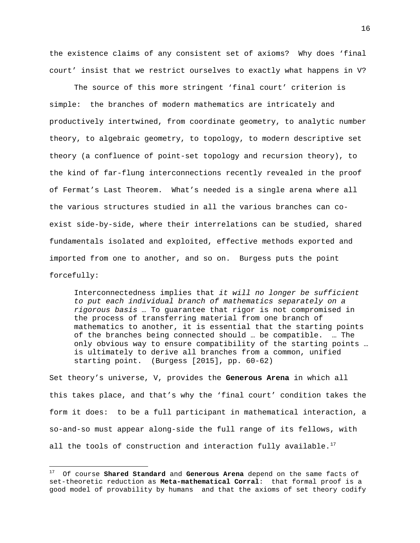the existence claims of any consistent set of axioms? Why does 'final court' insist that we restrict ourselves to exactly what happens in V?

The source of this more stringent 'final court' criterion is simple: the branches of modern mathematics are intricately and productively intertwined, from coordinate geometry, to analytic number theory, to algebraic geometry, to topology, to modern descriptive set theory (a confluence of point-set topology and recursion theory), to the kind of far-flung interconnections recently revealed in the proof of Fermat's Last Theorem. What's needed is a single arena where all the various structures studied in all the various branches can coexist side-by-side, where their interrelations can be studied, shared fundamentals isolated and exploited, effective methods exported and imported from one to another, and so on. Burgess puts the point forcefully:

Interconnectedness implies that *it will no longer be sufficient to put each individual branch of mathematics separately on a rigorous basis …* To guarantee that rigor is not compromised in the process of transferring material from one branch of mathematics to another, it is essential that the starting points of the branches being connected should … be compatible. … The only obvious way to ensure compatibility of the starting points … is ultimately to derive all branches from a common, unified starting point. (Burgess [2015], pp. 60-62)

Set theory's universe, V, provides the **Generous Arena** in which all this takes place, and that's why the 'final court' condition takes the form it does: to be a full participant in mathematical interaction, a so-and-so must appear along-side the full range of its fellows, with all the tools of construction and interaction fully available.<sup>[17](#page-15-0)</sup>

 $\overline{\phantom{a}}$ 

<span id="page-15-0"></span><sup>17</sup> Of course **Shared Standard** and **Generous Arena** depend on the same facts of set-theoretic reduction as **Meta-mathematical Corral**: that formal proof is a good model of provability by humans and that the axioms of set theory codify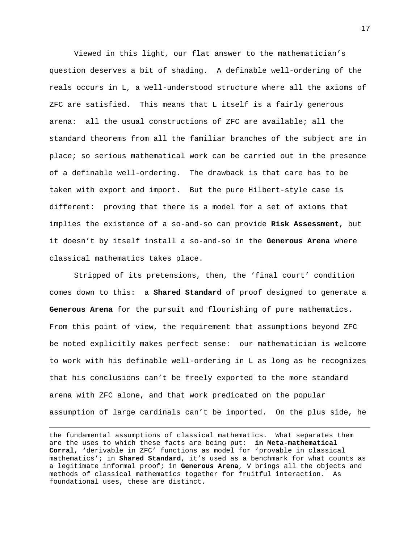Viewed in this light, our flat answer to the mathematician's question deserves a bit of shading. A definable well-ordering of the reals occurs in L, a well-understood structure where all the axioms of ZFC are satisfied. This means that L itself is a fairly generous arena: all the usual constructions of ZFC are available; all the standard theorems from all the familiar branches of the subject are in place; so serious mathematical work can be carried out in the presence of a definable well-ordering. The drawback is that care has to be taken with export and import. But the pure Hilbert-style case is different: proving that there is a model for a set of axioms that implies the existence of a so-and-so can provide **Risk Assessment**, but it doesn't by itself install a so-and-so in the **Generous Arena** where classical mathematics takes place.

Stripped of its pretensions, then, the 'final court' condition comes down to this: a **Shared Standard** of proof designed to generate a **Generous Arena** for the pursuit and flourishing of pure mathematics. From this point of view, the requirement that assumptions beyond ZFC be noted explicitly makes perfect sense: our mathematician is welcome to work with his definable well-ordering in L as long as he recognizes that his conclusions can't be freely exported to the more standard arena with ZFC alone, and that work predicated on the popular assumption of large cardinals can't be imported. On the plus side, he

the fundamental assumptions of classical mathematics. What separates them are the uses to which these facts are being put: **in Meta-mathematical Corral**, 'derivable in ZFC' functions as model for 'provable in classical mathematics'; in **Shared Standard**, it's used as a benchmark for what counts as a legitimate informal proof; in **Generous Arena**, V brings all the objects and methods of classical mathematics together for fruitful interaction. As foundational uses, these are distinct.

Ξ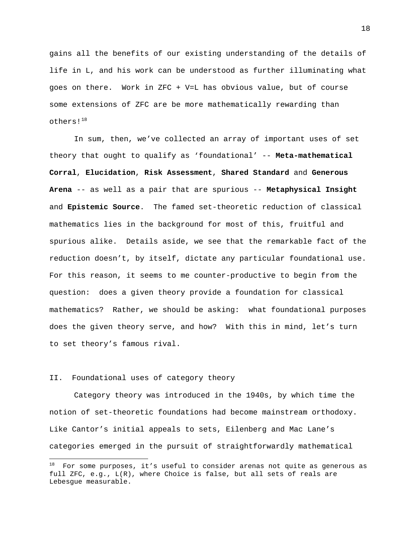gains all the benefits of our existing understanding of the details of life in L, and his work can be understood as further illuminating what goes on there. Work in ZFC + V=L has obvious value, but of course some extensions of ZFC are be more mathematically rewarding than others!<sup>[18](#page-17-0)</sup>

In sum, then, we've collected an array of important uses of set theory that ought to qualify as 'foundational' -- **Meta-mathematical Corral**, **Elucidation**, **Risk Assessment**, **Shared Standard** and **Generous Arena** -- as well as a pair that are spurious -- **Metaphysical Insight** and **Epistemic Source**. The famed set-theoretic reduction of classical mathematics lies in the background for most of this, fruitful and spurious alike. Details aside, we see that the remarkable fact of the reduction doesn't, by itself, dictate any particular foundational use. For this reason, it seems to me counter-productive to begin from the question: does a given theory provide a foundation for classical mathematics? Rather, we should be asking: what foundational purposes does the given theory serve, and how? With this in mind, let's turn to set theory's famous rival.

#### II. Foundational uses of category theory

 $\overline{\phantom{a}}$ 

Category theory was introduced in the 1940s, by which time the notion of set-theoretic foundations had become mainstream orthodoxy. Like Cantor's initial appeals to sets, Eilenberg and Mac Lane's categories emerged in the pursuit of straightforwardly mathematical

<span id="page-17-0"></span> $^{18}$  For some purposes, it's useful to consider arenas not quite as generous as full ZFC, e.g., L(R), where Choice is false, but all sets of reals are Lebesgue measurable.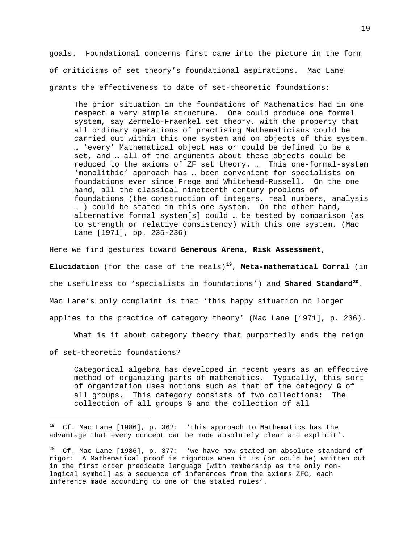goals. Foundational concerns first came into the picture in the form of criticisms of set theory's foundational aspirations. Mac Lane grants the effectiveness to date of set-theoretic foundations:

The prior situation in the foundations of Mathematics had in one respect a very simple structure. One could produce one formal system, say Zermelo-Fraenkel set theory, with the property that all ordinary operations of practising Mathematicians could be carried out within this one system and on objects of this system. … 'every' Mathematical object was or could be defined to be a set, and … all of the arguments about these objects could be reduced to the axioms of ZF set theory. … This one-formal-system 'monolithic' approach has … been convenient for specialists on foundations ever since Frege and Whitehead-Russell. On the one hand, all the classical nineteenth century problems of foundations (the construction of integers, real numbers, analysis … ) could be stated in this one system. On the other hand, alternative formal system[s] could … be tested by comparison (as to strength or relative consistency) with this one system. (Mac Lane [1971], pp. 235-236)

Here we find gestures toward **Generous Arena**, **Risk Assessment**,

**Elucidation** (for the case of the reals)<sup>[19](#page-18-0)</sup>, Meta-mathematical Corral (in the usefulness to 'specialists in foundations') and **Shared Standard[20](#page-18-1)**. Mac Lane's only complaint is that 'this happy situation no longer applies to the practice of category theory' (Mac Lane [1971], p. 236).

What is it about category theory that purportedly ends the reign

of set-theoretic foundations?

Categorical algebra has developed in recent years as an effective method of organizing parts of mathematics. Typically, this sort of organization uses notions such as that of the category **G** of all groups. This category consists of two collections: The collection of all groups G and the collection of all

<span id="page-18-0"></span> $\overline{\phantom{a}}$  $19$  Cf. Mac Lane [1986], p. 362: 'this approach to Mathematics has the advantage that every concept can be made absolutely clear and explicit'.

<span id="page-18-1"></span> $20$  Cf. Mac Lane [1986], p. 377: 'we have now stated an absolute standard of rigor: A Mathematical proof is rigorous when it is (or could be) written out in the first order predicate language [with membership as the only nonlogical symbol] as a sequence of inferences from the axioms ZFC, each inference made according to one of the stated rules'.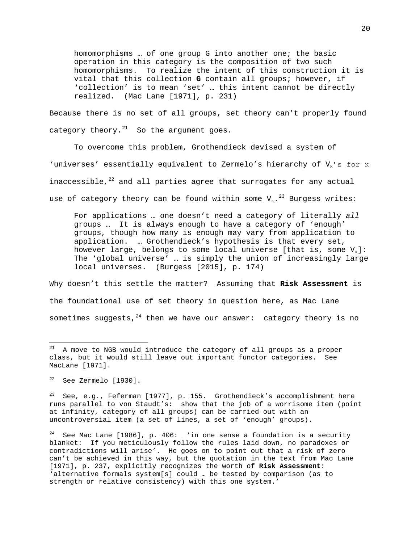homomorphisms … of one group G into another one; the basic operation in this category is the composition of two such homomorphisms. To realize the intent of this construction it is vital that this collection **G** contain all groups; however, if 'collection' is to mean 'set' … this intent cannot be directly realized. (Mac Lane [1971], p. 231)

Because there is no set of all groups, set theory can't properly found category theory. $21$  So the argument goes.

To overcome this problem, Grothendieck devised a system of 'universes' essentially equivalent to Zermelo's hierarchy of V<sub>κ</sub>'s for κ inaccessible, $^{22}$  $^{22}$  $^{22}$  and all parties agree that surrogates for any actual use of category theory can be found within some  $V_{k}$ .<sup>[23](#page-19-2)</sup> Burgess writes:

For applications … one doesn't need a category of literally *all* groups … It is always enough to have a category of 'enough' groups, though how many is enough may vary from application to application. … Grothendieck's hypothesis is that every set, however large, belongs to some local universe [that is, some  $V_{\kappa}$ ]: The 'global universe' … is simply the union of increasingly large local universes. (Burgess [2015], p. 174)

Why doesn't this settle the matter? Assuming that **Risk Assessment** is the foundational use of set theory in question here, as Mac Lane sometimes suggests,  $24$  then we have our answer: category theory is no

 $\overline{\phantom{a}}$ 

<span id="page-19-0"></span> $21$  A move to NGB would introduce the category of all groups as a proper class, but it would still leave out important functor categories. See MacLane [1971].

<span id="page-19-1"></span><sup>22</sup> See Zermelo [1930].

<span id="page-19-2"></span><sup>&</sup>lt;sup>23</sup> See, e.g., Feferman [1977], p. 155. Grothendieck's accomplishment here runs parallel to von Staudt's: show that the job of a worrisome item (point at infinity, category of all groups) can be carried out with an uncontroversial item (a set of lines, a set of 'enough' groups).

<span id="page-19-3"></span> $24$  See Mac Lane [1986], p. 406: 'in one sense a foundation is a security blanket: If you meticulously follow the rules laid down, no paradoxes or contradictions will arise'. He goes on to point out that a risk of zero can't be achieved in this way, but the quotation in the text from Mac Lane [1971], p. 237, explicitly recognizes the worth of **Risk Assessment**: 'alternative formals system[s] could … be tested by comparison (as to strength or relative consistency) with this one system.'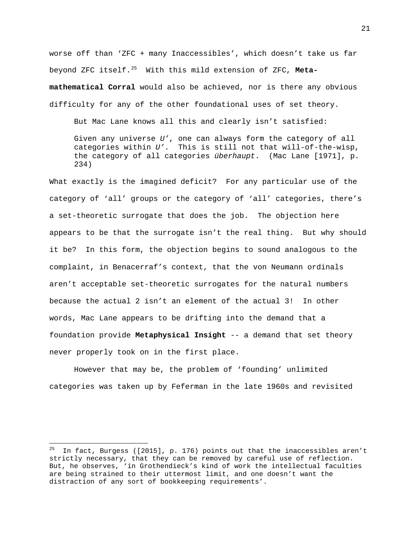worse off than 'ZFC + many Inaccessibles', which doesn't take us far beyond ZFC itself.[25](#page-20-0) With this mild extension of ZFC, **Meta-**

**mathematical Corral** would also be achieved, nor is there any obvious difficulty for any of the other foundational uses of set theory.

But Mac Lane knows all this and clearly isn't satisfied:

Given any universe *U'*, one can always form the category of all categories within *U'*. This is still not that will-of-the-wisp, the category of all categories *überhaupt*. (Mac Lane [1971], p. 234)

What exactly is the imagined deficit? For any particular use of the category of 'all' groups or the category of 'all' categories, there's a set-theoretic surrogate that does the job. The objection here appears to be that the surrogate isn't the real thing. But why should it be? In this form, the objection begins to sound analogous to the complaint, in Benacerraf's context, that the von Neumann ordinals aren't acceptable set-theoretic surrogates for the natural numbers because the actual 2 isn't an element of the actual 3! In other words, Mac Lane appears to be drifting into the demand that a foundation provide **Metaphysical Insight** -- a demand that set theory never properly took on in the first place.

However that may be, the problem of 'founding' unlimited categories was taken up by Feferman in the late 1960s and revisited

<span id="page-20-0"></span> $\overline{\phantom{a}}$  $^{25}$  In fact, Burgess ([2015], p. 176) points out that the inaccessibles aren't strictly necessary, that they can be removed by careful use of reflection. But, he observes, 'in Grothendieck's kind of work the intellectual faculties are being strained to their uttermost limit, and one doesn't want the distraction of any sort of bookkeeping requirements'.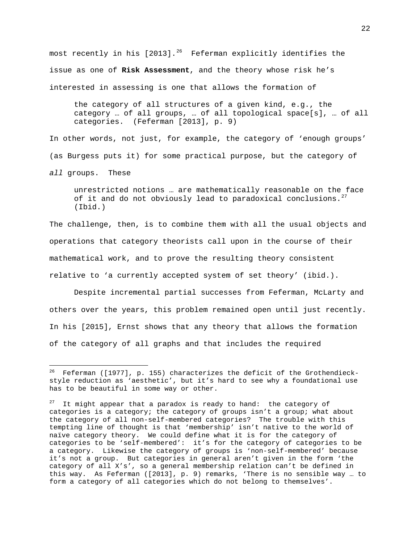most recently in his  $[2013]$ .<sup>26</sup> Feferman explicitly identifies the issue as one of **Risk Assessment**, and the theory whose risk he's interested in assessing is one that allows the formation of

the category of all structures of a given kind, e.g., the category … of all groups, … of all topological space[s], … of all categories. (Feferman [2013], p. 9)

In other words, not just, for example, the category of 'enough groups' (as Burgess puts it) for some practical purpose, but the category of *all* groups. These

unrestricted notions … are mathematically reasonable on the face of it and do not obviously lead to paradoxical conclusions.<sup>[27](#page-21-1)</sup> (Ibid.)

The challenge, then, is to combine them with all the usual objects and operations that category theorists call upon in the course of their mathematical work, and to prove the resulting theory consistent relative to 'a currently accepted system of set theory' (ibid.).

Despite incremental partial successes from Feferman, McLarty and others over the years, this problem remained open until just recently. In his [2015], Ernst shows that any theory that allows the formation of the category of all graphs and that includes the required

<span id="page-21-0"></span> $\overline{\phantom{a}}$  $^{26}$  Feferman ([1977], p. 155) characterizes the deficit of the Grothendieckstyle reduction as 'aesthetic', but it's hard to see why a foundational use has to be beautiful in some way or other.

<span id="page-21-1"></span> $27$  It might appear that a paradox is ready to hand: the category of categories is a category; the category of groups isn't a group; what about the category of all non-self-membered categories? The trouble with this tempting line of thought is that 'membership' isn't native to the world of naïve category theory. We could define what it is for the category of categories to be 'self-membered': it's for the category of categories to be a category. Likewise the category of groups is 'non-self-membered' because it's not a group. But categories in general aren't given in the form 'the category of all X's', so a general membership relation can't be defined in this way. As Feferman ([2013], p. 9) remarks, 'There is no sensible way … to form a category of all categories which do not belong to themselves'.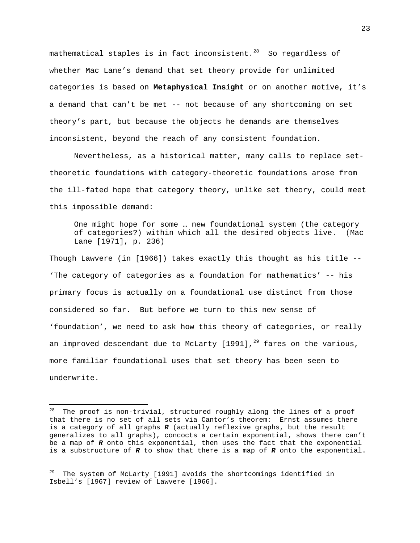mathematical staples is in fact inconsistent. $^{28}$  So regardless of whether Mac Lane's demand that set theory provide for unlimited categories is based on **Metaphysical Insight** or on another motive, it's a demand that can't be met -- not because of any shortcoming on set theory's part, but because the objects he demands are themselves inconsistent, beyond the reach of any consistent foundation.

Nevertheless, as a historical matter, many calls to replace settheoretic foundations with category-theoretic foundations arose from the ill-fated hope that category theory, unlike set theory, could meet this impossible demand:

One might hope for some … new foundational system (the category of categories?) within which all the desired objects live. (Mac Lane [1971], p. 236)

Though Lawvere (in [1966]) takes exactly this thought as his title -- 'The category of categories as a foundation for mathematics' -- his primary focus is actually on a foundational use distinct from those considered so far. But before we turn to this new sense of 'foundation', we need to ask how this theory of categories, or really an improved descendant due to McLarty  $[1991]$ ,<sup>[29](#page-22-1)</sup> fares on the various, more familiar foundational uses that set theory has been seen to underwrite.

<span id="page-22-0"></span> $\overline{\phantom{a}}$  $^{28}$  The proof is non-trivial, structured roughly along the lines of a proof that there is no set of all sets via Cantor's theorem: Ernst assumes there is a category of all graphs *R* (actually reflexive graphs, but the result generalizes to all graphs), concocts a certain exponential, shows there can't be a map of *R* onto this exponential, then uses the fact that the exponential is a substructure of *R* to show that there is a map of *R* onto the exponential.

<span id="page-22-1"></span> $29$  The system of McLarty [1991] avoids the shortcomings identified in Isbell's [1967] review of Lawvere [1966].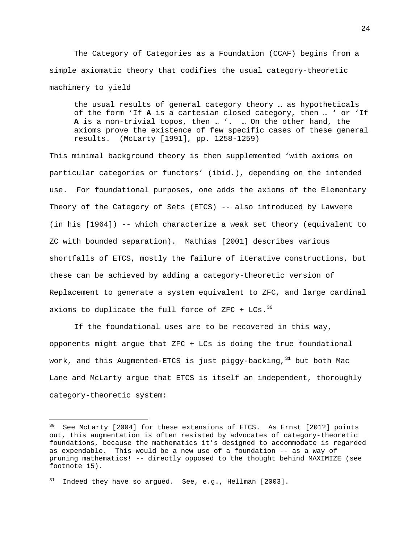The Category of Categories as a Foundation (CCAF) begins from a simple axiomatic theory that codifies the usual category-theoretic machinery to yield

the usual results of general category theory … as hypotheticals of the form 'If **A** is a cartesian closed category, then … ' or 'If **A** is a non-trivial topos, then … '. … On the other hand, the axioms prove the existence of few specific cases of these general results. (McLarty [1991], pp. 1258-1259)

This minimal background theory is then supplemented 'with axioms on particular categories or functors' (ibid.), depending on the intended use. For foundational purposes, one adds the axioms of the Elementary Theory of the Category of Sets (ETCS) -- also introduced by Lawvere (in his [1964]) -- which characterize a weak set theory (equivalent to ZC with bounded separation). Mathias [2001] describes various shortfalls of ETCS, mostly the failure of iterative constructions, but these can be achieved by adding a category-theoretic version of Replacement to generate a system equivalent to ZFC, and large cardinal axioms to duplicate the full force of  $ZFC + LCs.$ <sup>[30](#page-23-0)</sup>

If the foundational uses are to be recovered in this way, opponents might argue that ZFC + LCs is doing the true foundational work, and this Augmented-ETCS is just piggy-backing,  $31$  but both Mac Lane and McLarty argue that ETCS is itself an independent, thoroughly category-theoretic system:

<span id="page-23-0"></span> $\overline{\phantom{a}}$ <sup>30</sup> See McLarty [2004] for these extensions of ETCS. As Ernst [201?] points out, this augmentation is often resisted by advocates of category-theoretic foundations, because the mathematics it's designed to accommodate is regarded as expendable. This would be a new use of a foundation -- as a way of pruning mathematics! -- directly opposed to the thought behind MAXIMIZE (see footnote 15).

<span id="page-23-1"></span><sup>&</sup>lt;sup>31</sup> Indeed they have so argued. See, e.g., Hellman [2003].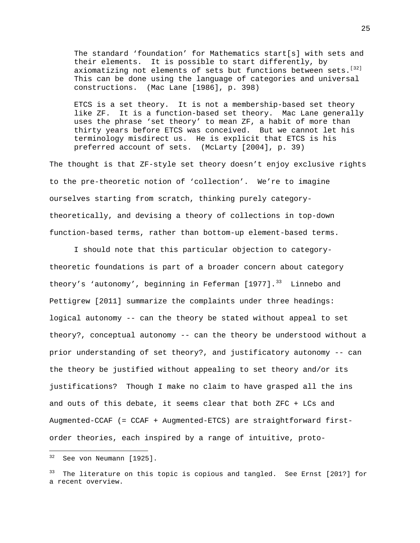The standard 'foundation' for Mathematics start[s] with sets and their elements. It is possible to start differently, by axiomatizing not elements of sets but functions between sets.<sup>[[32\]](#page-24-0)</sup> This can be done using the language of categories and universal constructions. (Mac Lane [1986], p. 398)

ETCS is a set theory. It is not a membership-based set theory like ZF. It is a function-based set theory. Mac Lane generally uses the phrase 'set theory' to mean ZF, a habit of more than thirty years before ETCS was conceived. But we cannot let his terminology misdirect us. He is explicit that ETCS is his preferred account of sets. (McLarty [2004], p. 39)

The thought is that ZF-style set theory doesn't enjoy exclusive rights to the pre-theoretic notion of 'collection'. We're to imagine ourselves starting from scratch, thinking purely categorytheoretically, and devising a theory of collections in top-down function-based terms, rather than bottom-up element-based terms.

I should note that this particular objection to categorytheoretic foundations is part of a broader concern about category theory's 'autonomy', beginning in Feferman  $[1977]$ .<sup>33</sup> Linnebo and Pettigrew [2011] summarize the complaints under three headings: logical autonomy -- can the theory be stated without appeal to set theory?, conceptual autonomy -- can the theory be understood without a prior understanding of set theory?, and justificatory autonomy -- can the theory be justified without appealing to set theory and/or its justifications? Though I make no claim to have grasped all the ins and outs of this debate, it seems clear that both ZFC + LCs and Augmented-CCAF (= CCAF + Augmented-ETCS) are straightforward firstorder theories, each inspired by a range of intuitive, proto-

<span id="page-24-0"></span> $\overline{\phantom{a}}$  $32$  See von Neumann [1925].

<span id="page-24-1"></span><sup>&</sup>lt;sup>33</sup> The literature on this topic is copious and tangled. See Ernst [201?] for a recent overview.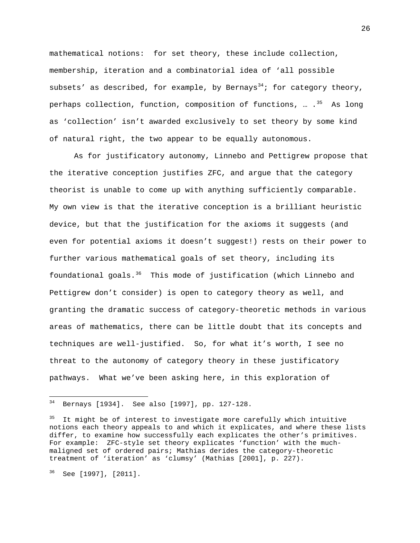mathematical notions: for set theory, these include collection, membership, iteration and a combinatorial idea of 'all possible subsets' as described, for example, by Bernays<sup>[34](#page-25-0)</sup>; for category theory, perhaps collection, function, composition of functions, ... .<sup>[35](#page-25-1)</sup> As long as 'collection' isn't awarded exclusively to set theory by some kind of natural right, the two appear to be equally autonomous.

As for justificatory autonomy, Linnebo and Pettigrew propose that the iterative conception justifies ZFC, and argue that the category theorist is unable to come up with anything sufficiently comparable. My own view is that the iterative conception is a brilliant heuristic device, but that the justification for the axioms it suggests (and even for potential axioms it doesn't suggest!) rests on their power to further various mathematical goals of set theory, including its foundational goals. $36$  This mode of justification (which Linnebo and Pettigrew don't consider) is open to category theory as well, and granting the dramatic success of category-theoretic methods in various areas of mathematics, there can be little doubt that its concepts and techniques are well-justified. So, for what it's worth, I see no threat to the autonomy of category theory in these justificatory pathways. What we've been asking here, in this exploration of

<span id="page-25-2"></span>36 See [1997], [2011].

j.

<span id="page-25-0"></span>t. 34 Bernays [1934]. See also [1997], pp. 127-128.

<span id="page-25-1"></span> $35$  It might be of interest to investigate more carefully which intuitive notions each theory appeals to and which it explicates, and where these lists differ, to examine how successfully each explicates the other's primitives. For example: ZFC-style set theory explicates 'function' with the muchmaligned set of ordered pairs; Mathias derides the category-theoretic treatment of 'iteration' as 'clumsy' (Mathias [2001], p. 227).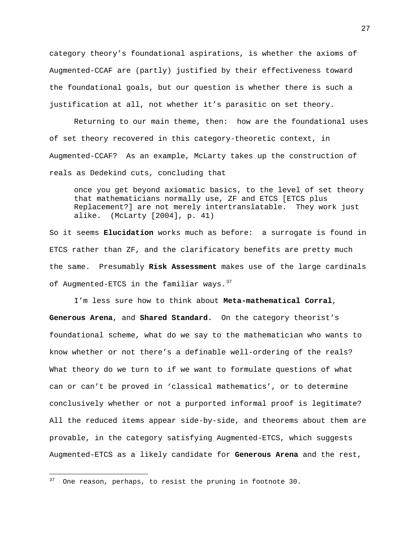category theory's foundational aspirations, is whether the axioms of Augmented-CCAF are (partly) justified by their effectiveness toward the foundational goals, but our question is whether there is such a justification at all, not whether it's parasitic on set theory.

Returning to our main theme, then: how are the foundational uses of set theory recovered in this category-theoretic context, in Augmented-CCAF? As an example, McLarty takes up the construction of reals as Dedekind cuts, concluding that

once you get beyond axiomatic basics, to the level of set theory that mathematicians normally use, ZF and ETCS [ETCS plus Replacement?] are not merely intertranslatable. They work just alike. (McLarty [2004], p. 41) (McLarty [2004], p. 41)

So it seems **Elucidation** works much as before: a surrogate is found in ETCS rather than ZF, and the clarificatory benefits are pretty much the same. Presumably **Risk Assessment** makes use of the large cardinals of Augmented-ETCS in the familiar ways. [37](#page-26-0)

I'm less sure how to think about **Meta-mathematical Corral**, **Generous Arena**, and **Shared Standard.** On the category theorist's foundational scheme, what do we say to the mathematician who wants to know whether or not there's a definable well-ordering of the reals? What theory do we turn to if we want to formulate questions of what can or can't be proved in 'classical mathematics', or to determine conclusively whether or not a purported informal proof is legitimate? All the reduced items appear side-by-side, and theorems about them are provable, in the category satisfying Augmented-ETCS, which suggests Augmented-ETCS as a likely candidate for **Generous Arena** and the rest,

t

<span id="page-26-0"></span> $37$  One reason, perhaps, to resist the pruning in footnote 30.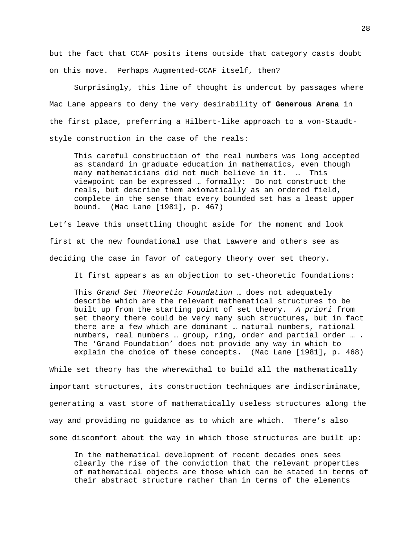but the fact that CCAF posits items outside that category casts doubt on this move. Perhaps Augmented-CCAF itself, then?

Surprisingly, this line of thought is undercut by passages where Mac Lane appears to deny the very desirability of **Generous Arena** in the first place, preferring a Hilbert-like approach to a von-Staudtstyle construction in the case of the reals:

This careful construction of the real numbers was long accepted as standard in graduate education in mathematics, even though many mathematicians did not much believe in it. … This viewpoint can be expressed … formally: Do not construct the reals, but describe them axiomatically as an ordered field, complete in the sense that every bounded set has a least upper bound. (Mac Lane [1981], p. 467)

Let's leave this unsettling thought aside for the moment and look first at the new foundational use that Lawvere and others see as deciding the case in favor of category theory over set theory.

It first appears as an objection to set-theoretic foundations:

This *Grand Set Theoretic Foundation* … does not adequately describe which are the relevant mathematical structures to be built up from the starting point of set theory. *A priori* from set theory there could be very many such structures, but in fact there are a few which are dominant … natural numbers, rational numbers, real numbers … group, ring, order and partial order … . The 'Grand Foundation' does not provide any way in which to explain the choice of these concepts. (Mac Lane [1981], p. 468)

While set theory has the wherewithal to build all the mathematically important structures, its construction techniques are indiscriminate, generating a vast store of mathematically useless structures along the way and providing no guidance as to which are which. There's also some discomfort about the way in which those structures are built up:

In the mathematical development of recent decades ones sees clearly the rise of the conviction that the relevant properties of mathematical objects are those which can be stated in terms of their abstract structure rather than in terms of the elements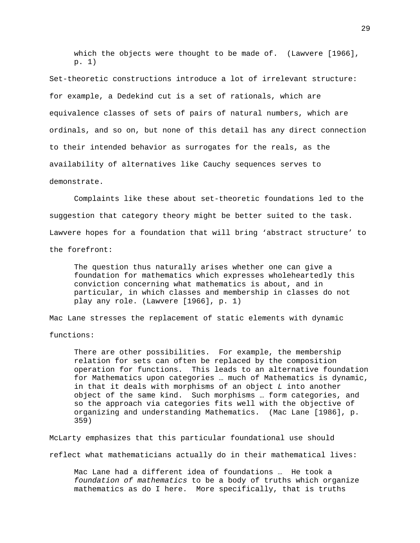which the objects were thought to be made of. (Lawvere [1966], p. 1)

Set-theoretic constructions introduce a lot of irrelevant structure: for example, a Dedekind cut is a set of rationals, which are equivalence classes of sets of pairs of natural numbers, which are ordinals, and so on, but none of this detail has any direct connection to their intended behavior as surrogates for the reals, as the availability of alternatives like Cauchy sequences serves to demonstrate.

Complaints like these about set-theoretic foundations led to the suggestion that category theory might be better suited to the task. Lawvere hopes for a foundation that will bring 'abstract structure' to the forefront:

The question thus naturally arises whether one can give a foundation for mathematics which expresses wholeheartedly this conviction concerning what mathematics is about, and in particular, in which classes and membership in classes do not play any role. (Lawvere [1966], p. 1)

Mac Lane stresses the replacement of static elements with dynamic

### functions:

There are other possibilities. For example, the membership relation for sets can often be replaced by the composition operation for functions. This leads to an alternative foundation for Mathematics upon categories … much of Mathematics is dynamic, in that it deals with morphisms of an object *L* into another object of the same kind. Such morphisms … form categories, and so the approach via categories fits well with the objective of organizing and understanding Mathematics. (Mac Lane [1986], p. 359)

McLarty emphasizes that this particular foundational use should reflect what mathematicians actually do in their mathematical lives:

Mac Lane had a different idea of foundations … He took a *foundation of mathematics* to be a body of truths which organize mathematics as do I here. More specifically, that is truths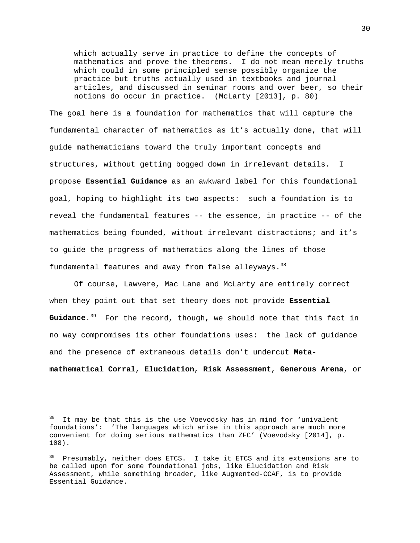which actually serve in practice to define the concepts of mathematics and prove the theorems. I do not mean merely truths which could in some principled sense possibly organize the practice but truths actually used in textbooks and journal articles, and discussed in seminar rooms and over beer, so their notions do occur in practice. (McLarty [2013], p. 80)

The goal here is a foundation for mathematics that will capture the fundamental character of mathematics as it's actually done, that will guide mathematicians toward the truly important concepts and structures, without getting bogged down in irrelevant details. I propose **Essential Guidance** as an awkward label for this foundational goal, hoping to highlight its two aspects: such a foundation is to reveal the fundamental features -- the essence, in practice -- of the mathematics being founded, without irrelevant distractions; and it's to guide the progress of mathematics along the lines of those fundamental features and away from false alleyways.<sup>[38](#page-29-0)</sup>

Of course, Lawvere, Mac Lane and McLarty are entirely correct when they point out that set theory does not provide **Essential**  Guidance.<sup>[39](#page-29-1)</sup> For the record, though, we should note that this fact in no way compromises its other foundations uses: the lack of guidance and the presence of extraneous details don't undercut **Meta-**

**mathematical Corral**, **Elucidation**, **Risk Assessment**, **Generous Arena**, or

<span id="page-29-0"></span> $\overline{\phantom{a}}$  $38$  It may be that this is the use Voevodsky has in mind for 'univalent foundations': 'The languages which arise in this approach are much more convenient for doing serious mathematics than ZFC' (Voevodsky [2014], p. 108).

<span id="page-29-1"></span><sup>&</sup>lt;sup>39</sup> Presumably, neither does ETCS. I take it ETCS and its extensions are to be called upon for some foundational jobs, like Elucidation and Risk Assessment, while something broader, like Augmented-CCAF, is to provide Essential Guidance.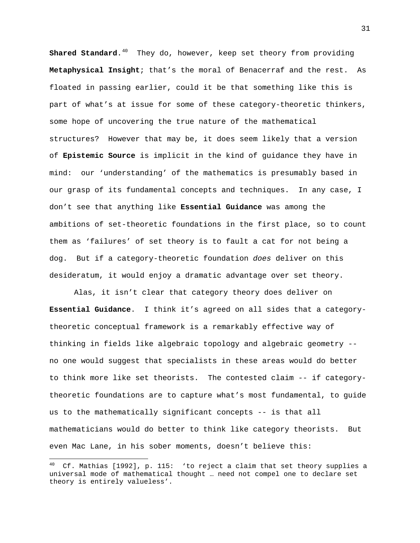**Shared Standard.**<sup>[40](#page-30-0)</sup> They do, however, keep set theory from providing **Metaphysical Insight**; that's the moral of Benacerraf and the rest. As floated in passing earlier, could it be that something like this is part of what's at issue for some of these category-theoretic thinkers, some hope of uncovering the true nature of the mathematical structures? However that may be, it does seem likely that a version of **Epistemic Source** is implicit in the kind of guidance they have in mind: our 'understanding' of the mathematics is presumably based in our grasp of its fundamental concepts and techniques. In any case, I don't see that anything like **Essential Guidance** was among the ambitions of set-theoretic foundations in the first place, so to count them as 'failures' of set theory is to fault a cat for not being a dog. But if a category-theoretic foundation *does* deliver on this desideratum, it would enjoy a dramatic advantage over set theory.

Alas, it isn't clear that category theory does deliver on **Essential Guidance**. I think it's agreed on all sides that a categorytheoretic conceptual framework is a remarkably effective way of thinking in fields like algebraic topology and algebraic geometry - no one would suggest that specialists in these areas would do better to think more like set theorists. The contested claim -- if categorytheoretic foundations are to capture what's most fundamental, to guide us to the mathematically significant concepts -- is that all mathematicians would do better to think like category theorists. But even Mac Lane, in his sober moments, doesn't believe this:

 $\overline{\phantom{a}}$ 

<span id="page-30-0"></span> $^{40}$  Cf. Mathias [1992], p. 115: 'to reject a claim that set theory supplies a universal mode of mathematical thought … need not compel one to declare set theory is entirely valueless'.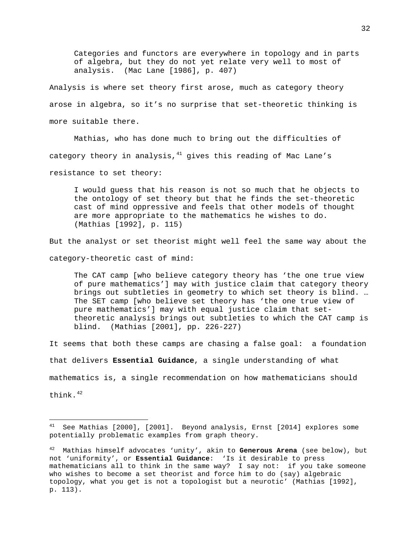Categories and functors are everywhere in topology and in parts of algebra, but they do not yet relate very well to most of analysis. (Mac Lane [1986], p. 407)

Analysis is where set theory first arose, much as category theory arose in algebra, so it's no surprise that set-theoretic thinking is more suitable there.

Mathias, who has done much to bring out the difficulties of category theory in analysis, $41$  gives this reading of Mac Lane's resistance to set theory:

I would guess that his reason is not so much that he objects to the ontology of set theory but that he finds the set-theoretic cast of mind oppressive and feels that other models of thought are more appropriate to the mathematics he wishes to do. (Mathias [1992], p. 115)

But the analyst or set theorist might well feel the same way about the category-theoretic cast of mind:

The CAT camp [who believe category theory has 'the one true view of pure mathematics'] may with justice claim that category theory brings out subtleties in geometry to which set theory is blind. … The SET camp [who believe set theory has 'the one true view of pure mathematics'] may with equal justice claim that settheoretic analysis brings out subtleties to which the CAT camp is blind. (Mathias [2001], pp. 226-227)

It seems that both these camps are chasing a false goal: a foundation that delivers **Essential Guidance**, a single understanding of what mathematics is, a single recommendation on how mathematicians should think.[42](#page-31-1)

<span id="page-31-0"></span>  $^{41}$  See Mathias [2000], [2001]. Beyond analysis, Ernst [2014] explores some potentially problematic examples from graph theory.

<span id="page-31-1"></span><sup>42</sup> Mathias himself advocates 'unity', akin to **Generous Arena** (see below), but not 'uniformity', or **Essential Guidance**: 'Is it desirable to press mathematicians all to think in the same way? I say not: if you take someone who wishes to become a set theorist and force him to do (say) algebraic topology, what you get is not a topologist but a neurotic' (Mathias [1992], p. 113).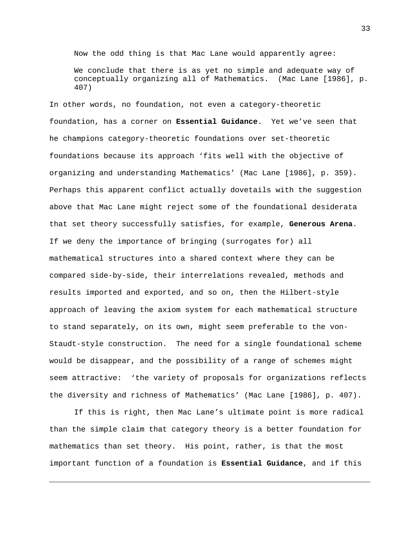Now the odd thing is that Mac Lane would apparently agree:

We conclude that there is as yet no simple and adequate way of conceptually organizing all of Mathematics. (Mac Lane [1986], p. 407)

In other words, no foundation, not even a category-theoretic foundation, has a corner on **Essential Guidance**. Yet we've seen that he champions category-theoretic foundations over set-theoretic foundations because its approach 'fits well with the objective of organizing and understanding Mathematics' (Mac Lane [1986], p. 359). Perhaps this apparent conflict actually dovetails with the suggestion above that Mac Lane might reject some of the foundational desiderata that set theory successfully satisfies, for example, **Generous Arena**. If we deny the importance of bringing (surrogates for) all mathematical structures into a shared context where they can be compared side-by-side, their interrelations revealed, methods and results imported and exported, and so on, then the Hilbert-style approach of leaving the axiom system for each mathematical structure to stand separately, on its own, might seem preferable to the von-Staudt-style construction. The need for a single foundational scheme would be disappear, and the possibility of a range of schemes might seem attractive: 'the variety of proposals for organizations reflects the diversity and richness of Mathematics' (Mac Lane [1986], p. 407).

If this is right, then Mac Lane's ultimate point is more radical than the simple claim that category theory is a better foundation for mathematics than set theory. His point, rather, is that the most important function of a foundation is **Essential Guidance**, and if this

Ξ

33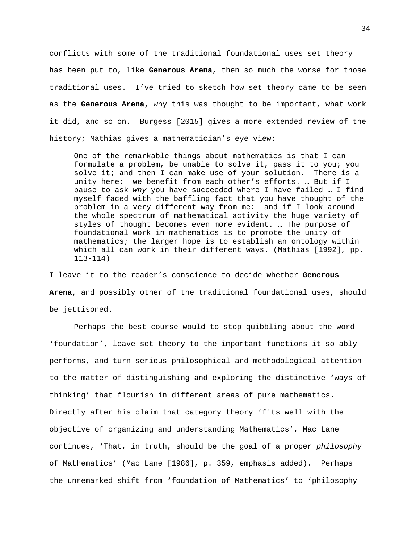conflicts with some of the traditional foundational uses set theory has been put to, like **Generous Arena**, then so much the worse for those traditional uses. I've tried to sketch how set theory came to be seen as the **Generous Arena,** why this was thought to be important, what work it did, and so on. Burgess [2015] gives a more extended review of the history; Mathias gives a mathematician's eye view:

One of the remarkable things about mathematics is that I can formulate a problem, be unable to solve it, pass it to you; you solve it; and then I can make use of your solution. There is a unity here: we benefit from each other's efforts. … But if I pause to ask *why* you have succeeded where I have failed … I find myself faced with the baffling fact that you have thought of the problem in a very different way from me: and if I look around the whole spectrum of mathematical activity the huge variety of styles of thought becomes even more evident. … The purpose of foundational work in mathematics is to promote the unity of mathematics; the larger hope is to establish an ontology within which all can work in their different ways. (Mathias [1992], pp. 113-114)

I leave it to the reader's conscience to decide whether **Generous Arena,** and possibly other of the traditional foundational uses, should be jettisoned.

Perhaps the best course would to stop quibbling about the word 'foundation', leave set theory to the important functions it so ably performs, and turn serious philosophical and methodological attention to the matter of distinguishing and exploring the distinctive 'ways of thinking' that flourish in different areas of pure mathematics. Directly after his claim that category theory 'fits well with the objective of organizing and understanding Mathematics', Mac Lane continues, 'That, in truth, should be the goal of a proper *philosophy* of Mathematics' (Mac Lane [1986], p. 359, emphasis added). Perhaps the unremarked shift from 'foundation of Mathematics' to 'philosophy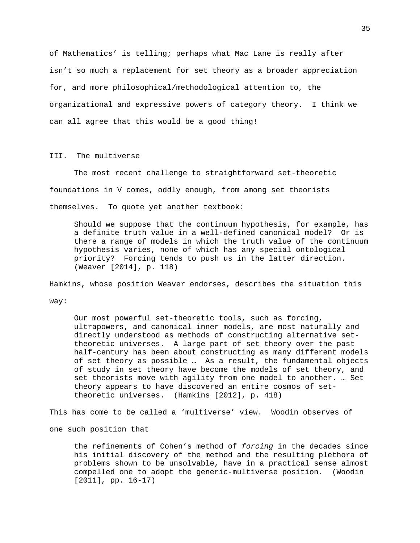of Mathematics' is telling; perhaps what Mac Lane is really after isn't so much a replacement for set theory as a broader appreciation for, and more philosophical/methodological attention to, the organizational and expressive powers of category theory. I think we can all agree that this would be a good thing!

III. The multiverse

The most recent challenge to straightforward set-theoretic foundations in V comes, oddly enough, from among set theorists themselves. To quote yet another textbook:

Should we suppose that the continuum hypothesis, for example, has a definite truth value in a well-defined canonical model? Or is there a range of models in which the truth value of the continuum hypothesis varies, none of which has any special ontological priority? Forcing tends to push us in the latter direction. (Weaver [2014], p. 118)

Hamkins, whose position Weaver endorses, describes the situation this

way:

Our most powerful set-theoretic tools, such as forcing, ultrapowers, and canonical inner models, are most naturally and directly understood as methods of constructing alternative settheoretic universes. A large part of set theory over the past half-century has been about constructing as many different models of set theory as possible … As a result, the fundamental objects of study in set theory have become the models of set theory, and set theorists move with agility from one model to another. … Set theory appears to have discovered an entire cosmos of settheoretic universes. (Hamkins [2012], p. 418)

This has come to be called a 'multiverse' view. Woodin observes of

one such position that

the refinements of Cohen's method of *forcing* in the decades since his initial discovery of the method and the resulting plethora of problems shown to be unsolvable, have in a practical sense almost compelled one to adopt the generic-multiverse position. (Woodin [2011], pp. 16-17)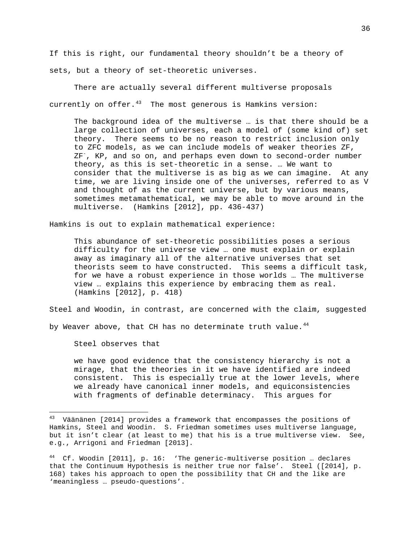If this is right, our fundamental theory shouldn't be a theory of

sets, but a theory of set-theoretic universes.

There are actually several different multiverse proposals currently on offer. $43$  The most generous is Hamkins version:

The background idea of the multiverse … is that there should be a large collection of universes, each a model of (some kind of) set theory. There seems to be no reason to restrict inclusion only to ZFC models, as we can include models of weaker theories ZF, ZF- , KP, and so on, and perhaps even down to second-order number theory, as this is set-theoretic in a sense. … We want to consider that the multiverse is as big as we can imagine. At any time, we are living inside one of the universes, referred to as V and thought of as the current universe, but by various means, sometimes metamathematical, we may be able to move around in the multiverse. (Hamkins [2012], pp. 436-437)

Hamkins is out to explain mathematical experience:

This abundance of set-theoretic possibilities poses a serious difficulty for the universe view … one must explain or explain away as imaginary all of the alternative universes that set theorists seem to have constructed. This seems a difficult task, for we have a robust experience in those worlds … The multiverse view … explains this experience by embracing them as real. (Hamkins [2012], p. 418)

Steel and Woodin, in contrast, are concerned with the claim, suggested

by Weaver above, that CH has no determinate truth value.<sup>[44](#page-35-1)</sup>

Steel observes that

 $\overline{\phantom{0}}$ 

we have good evidence that the consistency hierarchy is not a mirage, that the theories in it we have identified are indeed consistent. This is especially true at the lower levels, where we already have canonical inner models, and equiconsistencies with fragments of definable determinacy. This argues for

<span id="page-35-0"></span><sup>&</sup>lt;sup>43</sup> Väänänen [2014] provides a framework that encompasses the positions of Hamkins, Steel and Woodin. S. Friedman sometimes uses multiverse language, but it isn't clear (at least to me) that his is a true multiverse view. See, e.g., Arrigoni and Friedman [2013].

<span id="page-35-1"></span> $44$  Cf. Woodin [2011], p. 16: 'The generic-multiverse position ... declares that the Continuum Hypothesis is neither true nor false'. Steel ([2014], p. 168) takes his approach to open the possibility that CH and the like are 'meaningless … pseudo-questions'.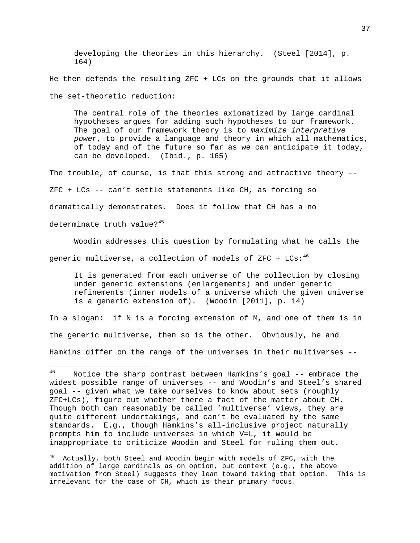developing the theories in this hierarchy. (Steel [2014], p. 164)

He then defends the resulting ZFC + LCs on the grounds that it allows the set-theoretic reduction:

The central role of the theories axiomatized by large cardinal hypotheses argues for adding such hypotheses to our framework. The goal of our framework theory is to *maximize interpretive power*, to provide a language and theory in which all mathematics, of today and of the future so far as we can anticipate it today, can be developed. (Ibid., p. 165)

The trouble, of course, is that this strong and attractive theory -- ZFC + LCs -- can't settle statements like CH, as forcing so dramatically demonstrates. Does it follow that CH has a no determinate truth value?<sup>[45](#page-36-0)</sup>

Woodin addresses this question by formulating what he calls the generic multiverse, a collection of models of  $ZFC + LCs:$ <sup>[46](#page-36-1)</sup>

It is generated from each universe of the collection by closing under generic extensions (enlargements) and under generic refinements (inner models of a universe which the given universe is a generic extension of). (Woodin [2011], p. 14)

In a slogan: if N is a forcing extension of M, and one of them is in the generic multiverse, then so is the other. Obviously, he and Hamkins differ on the range of the universes in their multiverses --

<span id="page-36-0"></span> $45$ Notice the sharp contrast between Hamkins's goal -- embrace the widest possible range of universes -- and Woodin's and Steel's shared goal -- given what we take ourselves to know about sets (roughly ZFC+LCs), figure out whether there a fact of the matter about CH. Though both can reasonably be called 'multiverse' views, they are quite different undertakings, and can't be evaluated by the same standards. E.g., though Hamkins's all-inclusive project naturally prompts him to include universes in which V=L, it would be inappropriate to criticize Woodin and Steel for ruling them out.

<span id="page-36-1"></span><sup>46</sup> Actually, both Steel and Woodin begin with models of ZFC, with the addition of large cardinals as on option, but context (e.g., the above motivation from Steel) suggests they lean toward taking that option. This is irrelevant for the case of CH, which is their primary focus.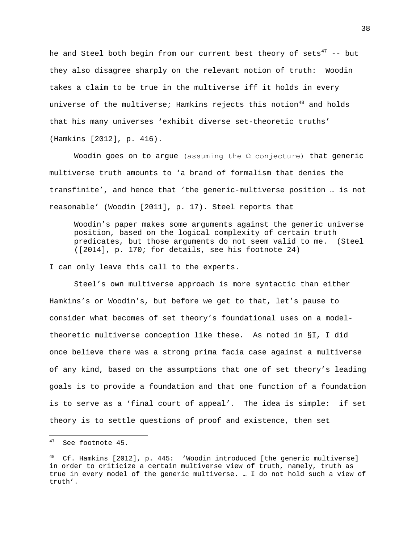he and Steel both begin from our current best theory of  $sets^{47}$  $sets^{47}$  $sets^{47}$  -- but they also disagree sharply on the relevant notion of truth: Woodin takes a claim to be true in the multiverse iff it holds in every universe of the multiverse; Hamkins rejects this notion<sup>[48](#page-37-1)</sup> and holds that his many universes 'exhibit diverse set-theoretic truths' (Hamkins [2012], p. 416).

Woodin goes on to argue (assuming the Ω conjecture) that generic multiverse truth amounts to 'a brand of formalism that denies the transfinite', and hence that 'the generic-multiverse position … is not reasonable' (Woodin [2011], p. 17). Steel reports that

Woodin's paper makes some arguments against the generic universe position, based on the logical complexity of certain truth predicates, but those arguments do not seem valid to me. (Steel ([2014], p. 170; for details, see his footnote 24)

I can only leave this call to the experts.

Steel's own multiverse approach is more syntactic than either Hamkins's or Woodin's, but before we get to that, let's pause to consider what becomes of set theory's foundational uses on a modeltheoretic multiverse conception like these. As noted in §I, I did once believe there was a strong prima facia case against a multiverse of any kind, based on the assumptions that one of set theory's leading goals is to provide a foundation and that one function of a foundation is to serve as a 'final court of appeal'. The idea is simple: if set theory is to settle questions of proof and existence, then set

t

<span id="page-37-0"></span> $47$  See footnote 45.

<span id="page-37-1"></span> $^{48}$  Cf. Hamkins [2012], p. 445: 'Woodin introduced [the generic multiverse] in order to criticize a certain multiverse view of truth, namely, truth as true in every model of the generic multiverse. … I do not hold such a view of truth'.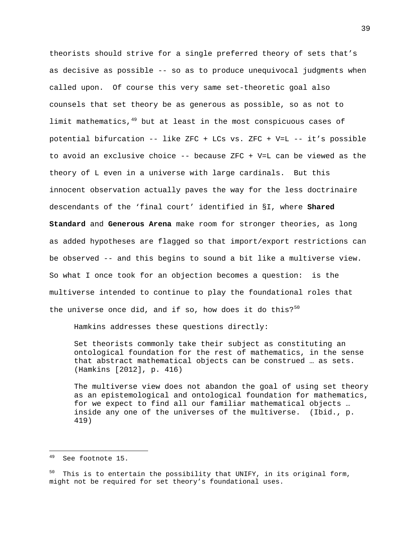theorists should strive for a single preferred theory of sets that's as decisive as possible -- so as to produce unequivocal judgments when called upon. Of course this very same set-theoretic goal also counsels that set theory be as generous as possible, so as not to limit mathematics, <sup>[49](#page-38-0)</sup> but at least in the most conspicuous cases of potential bifurcation -- like ZFC + LCs vs. ZFC + V=L -- it's possible to avoid an exclusive choice -- because ZFC + V=L can be viewed as the theory of L even in a universe with large cardinals. But this innocent observation actually paves the way for the less doctrinaire descendants of the 'final court' identified in §I, where **Shared Standard** and **Generous Arena** make room for stronger theories, as long as added hypotheses are flagged so that import/export restrictions can be observed -- and this begins to sound a bit like a multiverse view. So what I once took for an objection becomes a question: is the multiverse intended to continue to play the foundational roles that the universe once did, and if so, how does it do this?<sup>[50](#page-38-1)</sup>

Hamkins addresses these questions directly:

Set theorists commonly take their subject as constituting an ontological foundation for the rest of mathematics, in the sense that abstract mathematical objects can be construed … as sets. (Hamkins [2012], p. 416)

The multiverse view does not abandon the goal of using set theory as an epistemological and ontological foundation for mathematics, for we expect to find all our familiar mathematical objects … inside any one of the universes of the multiverse. (Ibid., p. 419)

<span id="page-38-0"></span> $\overline{\cdot}$ <sup>49</sup> See footnote 15.

<span id="page-38-1"></span> $50$  This is to entertain the possibility that UNIFY, in its original form, might not be required for set theory's foundational uses.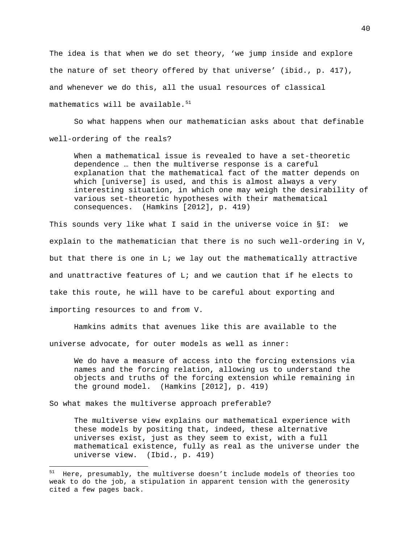The idea is that when we do set theory, 'we jump inside and explore the nature of set theory offered by that universe' (ibid., p. 417), and whenever we do this, all the usual resources of classical mathematics will be available. $51$ 

So what happens when our mathematician asks about that definable well-ordering of the reals?

When a mathematical issue is revealed to have a set-theoretic dependence … then the multiverse response is a careful explanation that the mathematical fact of the matter depends on which [universe] is used, and this is almost always a very interesting situation, in which one may weigh the desirability of various set-theoretic hypotheses with their mathematical consequences. (Hamkins [2012], p. 419)

This sounds very like what I said in the universe voice in §I: we explain to the mathematician that there is no such well-ordering in V, but that there is one in L; we lay out the mathematically attractive and unattractive features of L; and we caution that if he elects to take this route, he will have to be careful about exporting and importing resources to and from V.

Hamkins admits that avenues like this are available to the universe advocate, for outer models as well as inner:

We do have a measure of access into the forcing extensions via names and the forcing relation, allowing us to understand the objects and truths of the forcing extension while remaining in the ground model. (Hamkins [2012], p. 419)

So what makes the multiverse approach preferable?

É

The multiverse view explains our mathematical experience with these models by positing that, indeed, these alternative universes exist, just as they seem to exist, with a full mathematical existence, fully as real as the universe under the universe view. (Ibid., p. 419)

<span id="page-39-0"></span> $51$  Here, presumably, the multiverse doesn't include models of theories too weak to do the job, a stipulation in apparent tension with the generosity cited a few pages back.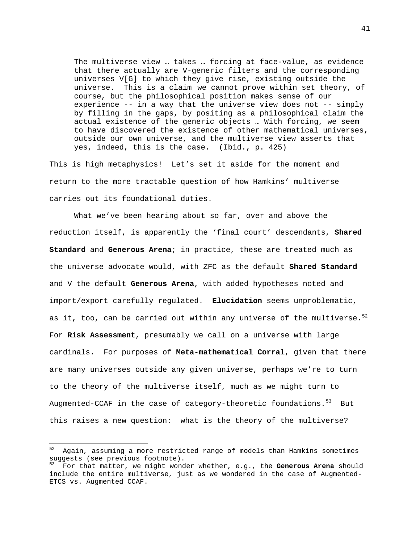The multiverse view … takes … forcing at face-value, as evidence that there actually are V-generic filters and the corresponding universes V[G] to which they give rise, existing outside the universe. This is a claim we cannot prove within set theory, of course, but the philosophical position makes sense of our experience -- in a way that the universe view does not -- simply by filling in the gaps, by positing as a philosophical claim the actual existence of the generic objects … With forcing, we seem to have discovered the existence of other mathematical universes, outside our own universe, and the multiverse view asserts that yes, indeed, this is the case. (Ibid., p. 425)

This is high metaphysics! Let's set it aside for the moment and return to the more tractable question of how Hamkins' multiverse carries out its foundational duties.

What we've been hearing about so far, over and above the reduction itself, is apparently the 'final court' descendants, **Shared Standard** and **Generous Arena**; in practice, these are treated much as the universe advocate would, with ZFC as the default **Shared Standard** and V the default **Generous Arena**, with added hypotheses noted and import/export carefully regulated. **Elucidation** seems unproblematic, as it, too, can be carried out within any universe of the multiverse. $52$ For **Risk Assessment**, presumably we call on a universe with large cardinals. For purposes of **Meta-mathematical Corral**, given that there are many universes outside any given universe, perhaps we're to turn to the theory of the multiverse itself, much as we might turn to Augmented-CCAF in the case of category-theoretic foundations.<sup>[53](#page-40-1)</sup> But this raises a new question: what is the theory of the multiverse?

 $\overline{\phantom{a}}$ 

<span id="page-40-0"></span><sup>&</sup>lt;sup>52</sup> Again, assuming a more restricted range of models than Hamkins sometimes suggests (see previous footnote).

<span id="page-40-1"></span><sup>53</sup> For that matter, we might wonder whether, e.g., the **Generous Arena** should include the entire multiverse, just as we wondered in the case of Augmented-ETCS vs. Augmented CCAF.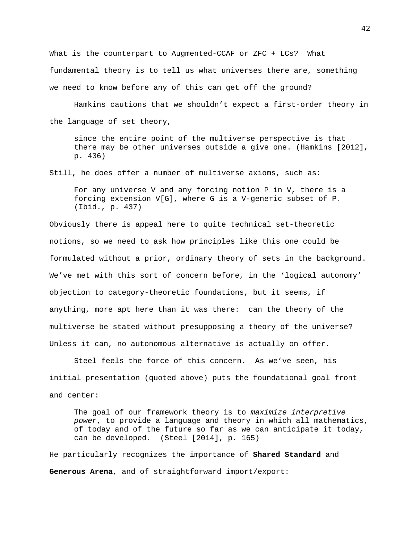What is the counterpart to Augmented-CCAF or ZFC + LCs? What fundamental theory is to tell us what universes there are, something we need to know before any of this can get off the ground?

Hamkins cautions that we shouldn't expect a first-order theory in the language of set theory,

since the entire point of the multiverse perspective is that there may be other universes outside a give one. (Hamkins [2012], p. 436)

Still, he does offer a number of multiverse axioms, such as:

For any universe V and any forcing notion P in V, there is a forcing extension V[G], where G is a V-generic subset of P. (Ibid., p. 437)

Obviously there is appeal here to quite technical set-theoretic notions, so we need to ask how principles like this one could be formulated without a prior, ordinary theory of sets in the background. We've met with this sort of concern before, in the 'logical autonomy' objection to category-theoretic foundations, but it seems, if anything, more apt here than it was there: can the theory of the multiverse be stated without presupposing a theory of the universe? Unless it can, no autonomous alternative is actually on offer.

Steel feels the force of this concern. As we've seen, his initial presentation (quoted above) puts the foundational goal front and center:

The goal of our framework theory is to *maximize interpretive power*, to provide a language and theory in which all mathematics, of today and of the future so far as we can anticipate it today, can be developed. (Steel [2014], p. 165)

He particularly recognizes the importance of **Shared Standard** and **Generous Arena**, and of straightforward import/export: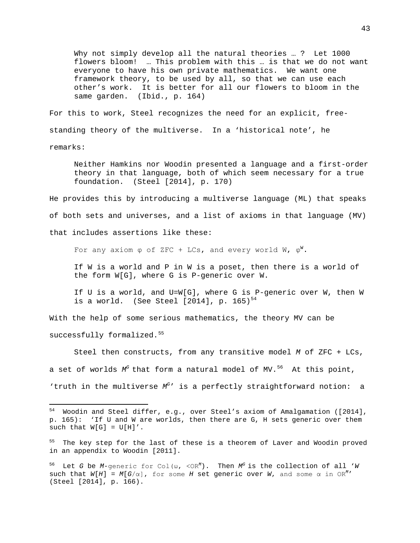Why not simply develop all the natural theories … ? Let 1000 flowers bloom! … This problem with this … is that we do not want everyone to have his own private mathematics. We want one framework theory, to be used by all, so that we can use each other's work. It is better for all our flowers to bloom in the same garden. (Ibid., p. 164)

For this to work, Steel recognizes the need for an explicit, freestanding theory of the multiverse. In a 'historical note', he remarks:

Neither Hamkins nor Woodin presented a language and a first-order theory in that language, both of which seem necessary for a true foundation. (Steel [2014], p. 170)

He provides this by introducing a multiverse language (ML) that speaks of both sets and universes, and a list of axioms in that language (MV) that includes assertions like these:

For any axiom  $\varphi$  of ZFC + LCs, and every world W,  $\varphi^W$ .

If W is a world and P in W is a poset, then there is a world of the form W[G], where G is P-generic over W.

If U is a world, and U=W[G], where G is P-generic over W, then W is a world. (See Steel  $[2014]$ , p. 165)<sup>[54](#page-42-0)</sup>

With the help of some serious mathematics, the theory MV can be successfully formalized.<sup>[55](#page-42-1)</sup>

 $\overline{\phantom{a}}$ 

Steel then constructs, from any transitive model *M* of ZFC + LCs, a set of worlds  $M^G$  that form a natural model of MV.<sup>56</sup> At this point, 'truth in the multiverse  $M^G{}'$  is a perfectly straightforward notion: a

<span id="page-42-0"></span><sup>54</sup> Woodin and Steel differ, e.g., over Steel's axiom of Amalgamation ([2014], p. 165): 'If U and W are worlds, then there are G, H sets generic over them such that  $W[G] = U[H]'$ .

<span id="page-42-1"></span><sup>55</sup> The key step for the last of these is a theorem of Laver and Woodin proved in an appendix to Woodin [2011].

<span id="page-42-2"></span><sup>56</sup> Let *G* be *M*-generic for Col(ω, <OR*<sup>M</sup>* ). Then *M<sup>G</sup>*is the collection of all '*W* such that  $W[H] = M[G/\alpha]$ , for some *H* set generic over  $W$ , and some  $\alpha$  in  $OR^{M}$ (Steel [2014], p. 166).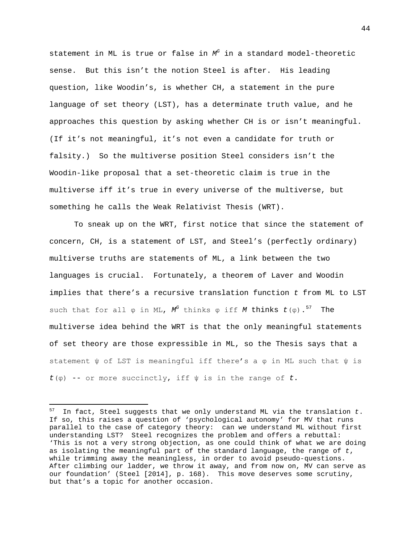statement in ML is true or false in  $M^G$  in a standard model-theoretic sense. But this isn't the notion Steel is after. His leading question, like Woodin's, is whether CH, a statement in the pure language of set theory (LST), has a determinate truth value, and he approaches this question by asking whether CH is or isn't meaningful. (If it's not meaningful, it's not even a candidate for truth or falsity.) So the multiverse position Steel considers isn't the Woodin-like proposal that a set-theoretic claim is true in the multiverse iff it's true in every universe of the multiverse, but something he calls the Weak Relativist Thesis (WRT).

To sneak up on the WRT, first notice that since the statement of concern, CH, is a statement of LST, and Steel's (perfectly ordinary) multiverse truths are statements of ML, a link between the two languages is crucial. Fortunately, a theorem of Laver and Woodin implies that there's a recursive translation function *t* from ML to LST such that for all  $\varphi$  in ML,  $M^G$  thinks  $\varphi$  iff *M* thinks  $t(\varphi)$ .<sup>57</sup> The multiverse idea behind the WRT is that the only meaningful statements of set theory are those expressible in ML, so the Thesis says that a statement  $\psi$  of LST is meaningful iff there's a  $\varphi$  in ML such that  $\psi$  is *t*(φ) -- or more succinctly, iff ψ is in the range of *t*.

<span id="page-43-0"></span> $\overline{\phantom{a}}$ 57 In fact, Steel suggests that we only understand ML via the translation *t*. If so, this raises a question of 'psychological autonomy' for MV that runs parallel to the case of category theory: can we understand ML without first understanding LST? Steel recognizes the problem and offers a rebuttal: 'This is not a very strong objection, as one could think of what we are doing as isolating the meaningful part of the standard language, the range of *t*, while trimming away the meaningless, in order to avoid pseudo-questions. After climbing our ladder, we throw it away, and from now on, MV can serve as our foundation' (Steel [2014], p. 168). This move deserves some scrutiny, but that's a topic for another occasion.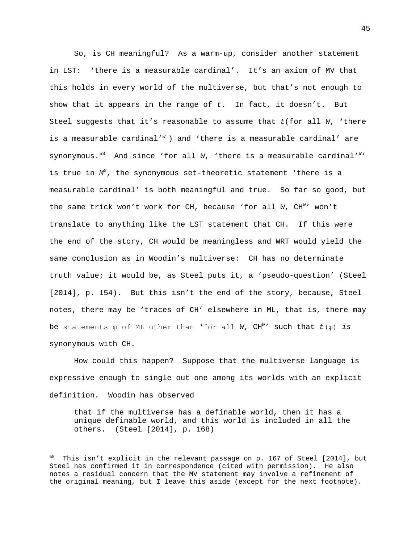So, is CH meaningful? As a warm-up, consider another statement in LST: 'there is a measurable cardinal'. It's an axiom of MV that this holds in every world of the multiverse, but that's not enough to show that it appears in the range of *t*. In fact, it doesn't. But Steel suggests that it's reasonable to assume that *t*(for all *W*, 'there is a measurable cardinal'*<sup>W</sup>*) and 'there is a measurable cardinal' are synonymous.<sup>[58](#page-44-0)</sup> And since 'for all *W*, 'there is a measurable cardinal'<sup>*W*</sup>' is true in *MG* , the synonymous set-theoretic statement 'there is a measurable cardinal' is both meaningful and true. So far so good, but the same trick won't work for CH, because 'for all *W*, CH<sup>W</sup>' won't translate to anything like the LST statement that CH. If this were the end of the story, CH would be meaningless and WRT would yield the same conclusion as in Woodin's multiverse: CH has no determinate truth value; it would be, as Steel puts it, a 'pseudo-question' (Steel [2014], p. 154). But this isn't the end of the story, because, Steel notes, there may be 'traces of CH' elsewhere in ML, that is, there may be statements φ of ML other than 'for all *W*, CH*<sup>W</sup>* ' such that *t*(φ) *is* synonymous with CH.

How could this happen? Suppose that the multiverse language is expressive enough to single out one among its worlds with an explicit definition. Woodin has observed

that if the multiverse has a definable world, then it has a unique definable world, and this world is included in all the others. (Steel [2014], p. 168)

 $\overline{\phantom{a}}$ 

<span id="page-44-0"></span><sup>&</sup>lt;sup>58</sup> This isn't explicit in the relevant passage on p. 167 of Steel [2014], but Steel has confirmed it in correspondence (cited with permission). He also notes a residual concern that the MV statement may involve a refinement of the original meaning, but I leave this aside (except for the next footnote).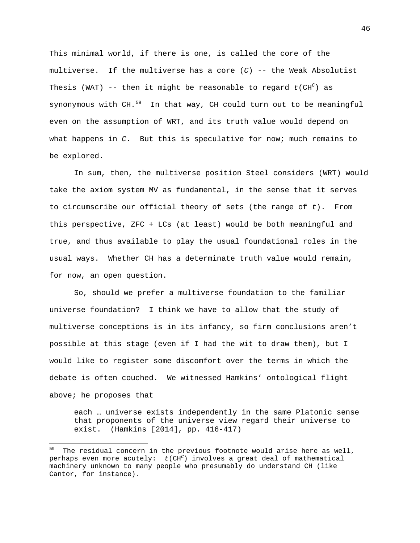This minimal world, if there is one, is called the core of the multiverse. If the multiverse has a core  $(C)$  -- the Weak Absolutist Thesis (WAT) -- then it might be reasonable to regard *t*(CH*<sup>C</sup>* ) as synonymous with CH.<sup>[59](#page-45-0)</sup> In that way, CH could turn out to be meaningful even on the assumption of WRT, and its truth value would depend on what happens in *C*. But this is speculative for now; much remains to be explored.

In sum, then, the multiverse position Steel considers (WRT) would take the axiom system MV as fundamental, in the sense that it serves to circumscribe our official theory of sets (the range of *t*). From this perspective, ZFC + LCs (at least) would be both meaningful and true, and thus available to play the usual foundational roles in the usual ways. Whether CH has a determinate truth value would remain, for now, an open question.

So, should we prefer a multiverse foundation to the familiar universe foundation? I think we have to allow that the study of multiverse conceptions is in its infancy, so firm conclusions aren't possible at this stage (even if I had the wit to draw them), but I would like to register some discomfort over the terms in which the debate is often couched. We witnessed Hamkins' ontological flight above; he proposes that

each … universe exists independently in the same Platonic sense that proponents of the universe view regard their universe to exist. (Hamkins [2014], pp. 416-417)

 $\overline{\phantom{a}}$ 

46

<span id="page-45-0"></span> $59$  The residual concern in the previous footnote would arise here as well, perhaps even more acutely: *t*(CH*<sup>C</sup>* ) involves a great deal of mathematical machinery unknown to many people who presumably do understand CH (like Cantor, for instance).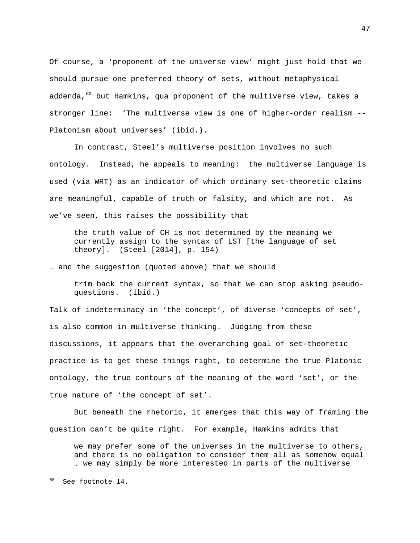Of course, a 'proponent of the universe view' might just hold that we should pursue one preferred theory of sets, without metaphysical addenda, $60$  but Hamkins, qua proponent of the multiverse view, takes a stronger line: 'The multiverse view is one of higher-order realism -- Platonism about universes' (ibid.).

In contrast, Steel's multiverse position involves no such ontology. Instead, he appeals to meaning: the multiverse language is used (via WRT) as an indicator of which ordinary set-theoretic claims are meaningful, capable of truth or falsity, and which are not. As we've seen, this raises the possibility that

the truth value of CH is not determined by the meaning we currently assign to the syntax of LST [the language of set theory]. (Steel [2014], p. 154)

… and the suggestion (quoted above) that we should

trim back the current syntax, so that we can stop asking pseudoquestions. (Ibid.)

Talk of indeterminacy in 'the concept', of diverse 'concepts of set', is also common in multiverse thinking. Judging from these discussions, it appears that the overarching goal of set-theoretic practice is to get these things right, to determine the true Platonic ontology, the true contours of the meaning of the word 'set', or the true nature of 'the concept of set'.

But beneath the rhetoric, it emerges that this way of framing the question can't be quite right. For example, Hamkins admits that

we may prefer some of the universes in the multiverse to others, and there is no obligation to consider them all as somehow equal … we may simply be more interested in parts of the multiverse

 $\overline{\phantom{a}}$ 

<span id="page-46-0"></span> $60$  See footnote 14.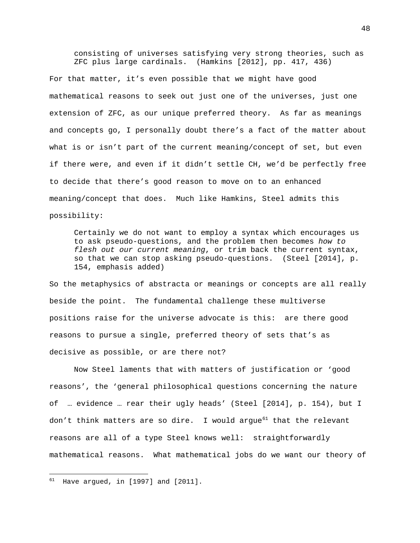consisting of universes satisfying very strong theories, such as ZFC plus large cardinals. (Hamkins [2012], pp. 417, 436)

For that matter, it's even possible that we might have good mathematical reasons to seek out just one of the universes, just one extension of ZFC, as our unique preferred theory. As far as meanings and concepts go, I personally doubt there's a fact of the matter about what is or isn't part of the current meaning/concept of set, but even if there were, and even if it didn't settle CH, we'd be perfectly free to decide that there's good reason to move on to an enhanced meaning/concept that does. Much like Hamkins, Steel admits this possibility:

Certainly we do not want to employ a syntax which encourages us to ask pseudo-questions, and the problem then becomes *how to flesh out our current meaning*, or trim back the current syntax, so that we can stop asking pseudo-questions. (Steel [2014], p. 154, emphasis added)

So the metaphysics of abstracta or meanings or concepts are all really beside the point. The fundamental challenge these multiverse positions raise for the universe advocate is this: are there good reasons to pursue a single, preferred theory of sets that's as decisive as possible, or are there not?

Now Steel laments that with matters of justification or 'good reasons', the 'general philosophical questions concerning the nature of … evidence … rear their ugly heads' (Steel [2014], p. 154), but I don't think matters are so dire. I would arque $^{61}$  $^{61}$  $^{61}$  that the relevant reasons are all of a type Steel knows well: straightforwardly mathematical reasons. What mathematical jobs do we want our theory of

 $\overline{\phantom{a}}$ 

<span id="page-47-0"></span> $61$  Have argued, in [1997] and [2011].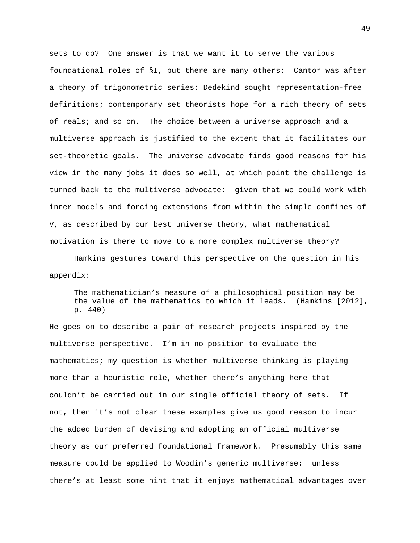sets to do? One answer is that we want it to serve the various foundational roles of §I, but there are many others: Cantor was after a theory of trigonometric series; Dedekind sought representation-free definitions; contemporary set theorists hope for a rich theory of sets of reals; and so on. The choice between a universe approach and a multiverse approach is justified to the extent that it facilitates our set-theoretic goals. The universe advocate finds good reasons for his view in the many jobs it does so well, at which point the challenge is turned back to the multiverse advocate: given that we could work with inner models and forcing extensions from within the simple confines of V, as described by our best universe theory, what mathematical motivation is there to move to a more complex multiverse theory?

Hamkins gestures toward this perspective on the question in his appendix:

The mathematician's measure of a philosophical position may be the value of the mathematics to which it leads. (Hamkins [2012], p. 440)

He goes on to describe a pair of research projects inspired by the multiverse perspective. I'm in no position to evaluate the mathematics; my question is whether multiverse thinking is playing more than a heuristic role, whether there's anything here that couldn't be carried out in our single official theory of sets. If not, then it's not clear these examples give us good reason to incur the added burden of devising and adopting an official multiverse theory as our preferred foundational framework. Presumably this same measure could be applied to Woodin's generic multiverse: unless there's at least some hint that it enjoys mathematical advantages over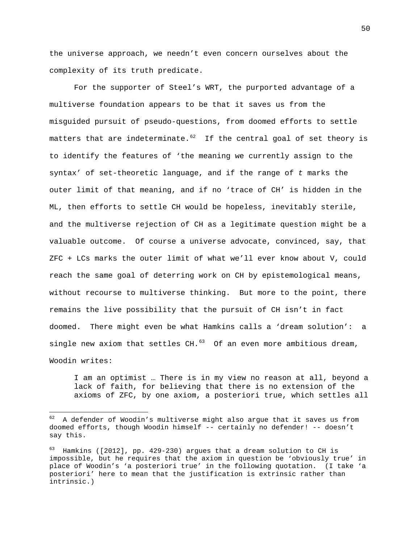the universe approach, we needn't even concern ourselves about the complexity of its truth predicate.

For the supporter of Steel's WRT, the purported advantage of a multiverse foundation appears to be that it saves us from the misguided pursuit of pseudo-questions, from doomed efforts to settle matters that are indeterminate. $62$  If the central goal of set theory is to identify the features of 'the meaning we currently assign to the syntax' of set-theoretic language, and if the range of *t* marks the outer limit of that meaning, and if no 'trace of CH' is hidden in the ML, then efforts to settle CH would be hopeless, inevitably sterile, and the multiverse rejection of CH as a legitimate question might be a valuable outcome. Of course a universe advocate, convinced, say, that ZFC + LCs marks the outer limit of what we'll ever know about V, could reach the same goal of deterring work on CH by epistemological means, without recourse to multiverse thinking. But more to the point, there remains the live possibility that the pursuit of CH isn't in fact doomed. There might even be what Hamkins calls a 'dream solution': a single new axiom that settles  $CH.<sup>63</sup>$  $CH.<sup>63</sup>$  $CH.<sup>63</sup>$  Of an even more ambitious dream, Woodin writes:

I am an optimist … There is in my view no reason at all, beyond a lack of faith, for believing that there is no extension of the axioms of ZFC, by one axiom, a posteriori true, which settles all

<span id="page-49-0"></span> $\overline{\phantom{a}}$  $62$  A defender of Woodin's multiverse might also argue that it saves us from doomed efforts, though Woodin himself -- certainly no defender! -- doesn't say this.

<span id="page-49-1"></span><sup>63</sup> Hamkins ([2012], pp. 429-230) argues that a dream solution to CH is impossible, but he requires that the axiom in question be 'obviously true' in place of Woodin's 'a posteriori true' in the following quotation. (I take 'a posteriori' here to mean that the justification is extrinsic rather than intrinsic.)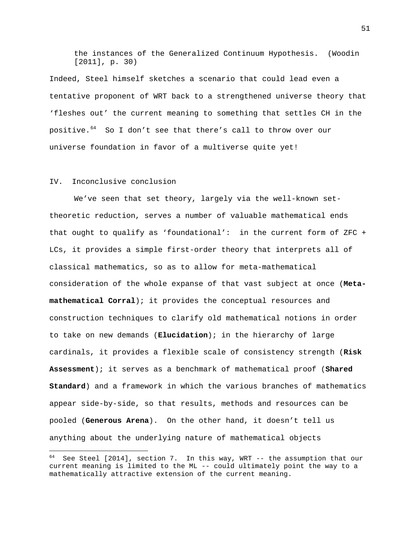the instances of the Generalized Continuum Hypothesis. (Woodin [2011], p. 30)

Indeed, Steel himself sketches a scenario that could lead even a tentative proponent of WRT back to a strengthened universe theory that 'fleshes out' the current meaning to something that settles CH in the positive.<sup>[64](#page-50-0)</sup> So I don't see that there's call to throw over our universe foundation in favor of a multiverse quite yet!

## IV. Inconclusive conclusion

 $\overline{\phantom{a}}$ 

We've seen that set theory, largely via the well-known settheoretic reduction, serves a number of valuable mathematical ends that ought to qualify as 'foundational': in the current form of ZFC + LCs, it provides a simple first-order theory that interprets all of classical mathematics, so as to allow for meta-mathematical consideration of the whole expanse of that vast subject at once (**Metamathematical Corral**); it provides the conceptual resources and construction techniques to clarify old mathematical notions in order to take on new demands (**Elucidation**); in the hierarchy of large cardinals, it provides a flexible scale of consistency strength (**Risk Assessment**); it serves as a benchmark of mathematical proof (**Shared Standard**) and a framework in which the various branches of mathematics appear side-by-side, so that results, methods and resources can be pooled (**Generous Arena**). On the other hand, it doesn't tell us anything about the underlying nature of mathematical objects

<span id="page-50-0"></span> $64$  See Steel [2014], section 7. In this way, WRT -- the assumption that our current meaning is limited to the ML -- could ultimately point the way to a mathematically attractive extension of the current meaning.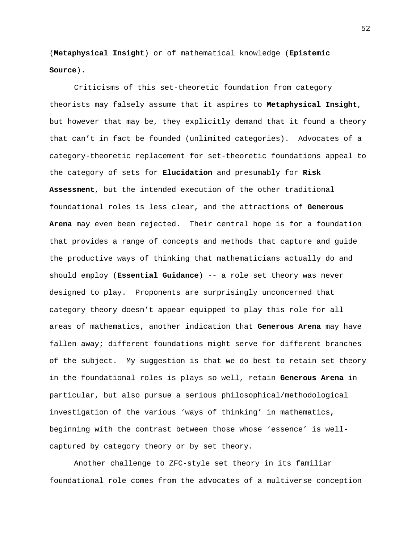(**Metaphysical Insight**) or of mathematical knowledge (**Epistemic Source**).

Criticisms of this set-theoretic foundation from category theorists may falsely assume that it aspires to **Metaphysical Insight**, but however that may be, they explicitly demand that it found a theory that can't in fact be founded (unlimited categories). Advocates of a category-theoretic replacement for set-theoretic foundations appeal to the category of sets for **Elucidation** and presumably for **Risk Assessment**, but the intended execution of the other traditional foundational roles is less clear, and the attractions of **Generous Arena** may even been rejected. Their central hope is for a foundation that provides a range of concepts and methods that capture and guide the productive ways of thinking that mathematicians actually do and should employ (**Essential Guidance**) -- a role set theory was never designed to play. Proponents are surprisingly unconcerned that category theory doesn't appear equipped to play this role for all areas of mathematics, another indication that **Generous Arena** may have fallen away; different foundations might serve for different branches of the subject. My suggestion is that we do best to retain set theory in the foundational roles is plays so well, retain **Generous Arena** in particular, but also pursue a serious philosophical/methodological investigation of the various 'ways of thinking' in mathematics, beginning with the contrast between those whose 'essence' is wellcaptured by category theory or by set theory.

Another challenge to ZFC-style set theory in its familiar foundational role comes from the advocates of a multiverse conception

52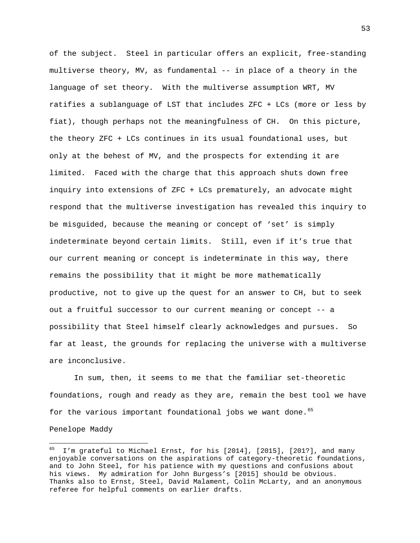of the subject. Steel in particular offers an explicit, free-standing multiverse theory, MV, as fundamental -- in place of a theory in the language of set theory. With the multiverse assumption WRT, MV ratifies a sublanguage of LST that includes ZFC + LCs (more or less by fiat), though perhaps not the meaningfulness of CH. On this picture, the theory ZFC + LCs continues in its usual foundational uses, but only at the behest of MV, and the prospects for extending it are limited. Faced with the charge that this approach shuts down free inquiry into extensions of ZFC + LCs prematurely, an advocate might respond that the multiverse investigation has revealed this inquiry to be misguided, because the meaning or concept of 'set' is simply indeterminate beyond certain limits. Still, even if it's true that our current meaning or concept is indeterminate in this way, there remains the possibility that it might be more mathematically productive, not to give up the quest for an answer to CH, but to seek out a fruitful successor to our current meaning or concept -- a possibility that Steel himself clearly acknowledges and pursues. So far at least, the grounds for replacing the universe with a multiverse are inconclusive.

In sum, then, it seems to me that the familiar set-theoretic foundations, rough and ready as they are, remain the best tool we have for the various important foundational jobs we want done.<sup>[65](#page-52-0)</sup> Penelope Maddy

<span id="page-52-0"></span> $\overline{\phantom{a}}$  $^{65}$  I'm grateful to Michael Ernst, for his [2014], [2015], [201?], and many enjoyable conversations on the aspirations of category-theoretic foundations, and to John Steel, for his patience with my questions and confusions about his views. My admiration for John Burgess's [2015] should be obvious. Thanks also to Ernst, Steel, David Malament, Colin McLarty, and an anonymous referee for helpful comments on earlier drafts.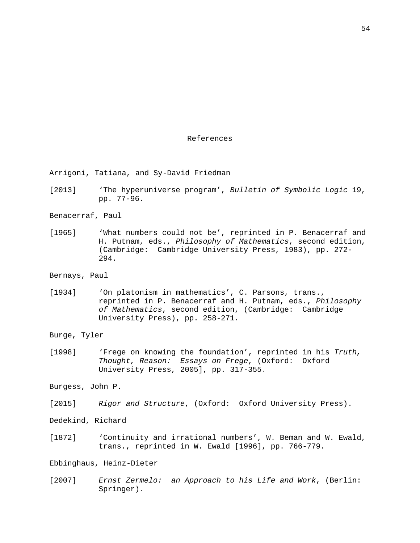#### References

Arrigoni, Tatiana, and Sy-David Friedman

[2013] 'The hyperuniverse program', *Bulletin of Symbolic Logic* 19, pp. 77-96.

Benacerraf, Paul

- [1965] 'What numbers could not be', reprinted in P. Benacerraf and H. Putnam, eds., *Philosophy of Mathematics*, second edition, (Cambridge: Cambridge University Press, 1983), pp. 272- 294.
- Bernays, Paul
- [1934] 'On platonism in mathematics', C. Parsons, trans., reprinted in P. Benacerraf and H. Putnam, eds., *Philosophy of Mathematics*, second edition, (Cambridge: Cambridge University Press), pp. 258-271.
- Burge, Tyler
- [1998] 'Frege on knowing the foundation', reprinted in his *Truth, Thought, Reason: Essays on Frege*, (Oxford: Oxford University Press, 2005], pp. 317-355.
- Burgess, John P.
- [2015] *Rigor and Structure*, (Oxford: Oxford University Press).
- Dedekind, Richard
- [1872] 'Continuity and irrational numbers', W. Beman and W. Ewald, trans., reprinted in W. Ewald [1996], pp. 766-779.

Ebbinghaus, Heinz-Dieter

[2007] *Ernst Zermelo: an Approach to his Life and Work*, (Berlin: Springer).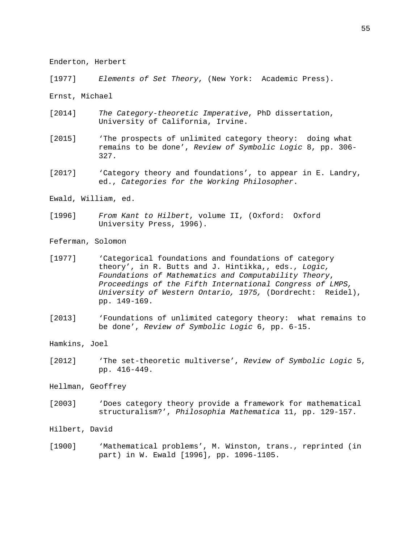Enderton, Herbert

[1977] *Elements of Set Theory*, (New York: Academic Press).

Ernst, Michael

- [2014] *The Category-theoretic Imperative*, PhD dissertation, University of California, Irvine.
- [2015] 'The prospects of unlimited category theory: doing what remains to be done', *Review of Symbolic Logic* 8, pp. 306- 327.
- [201?] 'Category theory and foundations', to appear in E. Landry, ed., *Categories for the Working Philosopher*.

Ewald, William, ed.

[1996] *From Kant to Hilbert*, volume II, (Oxford: Oxford University Press, 1996).

Feferman, Solomon

- [1977] 'Categorical foundations and foundations of category theory', in R. Butts and J. Hintikka,, eds., *Logic, Foundations of Mathematics and Computability Theory*, *Proceedings of the Fifth International Congress of LMPS, University of Western Ontario, 1975,* (Dordrecht: Reidel), pp. 149-169.
- [2013] 'Foundations of unlimited category theory: what remains to be done', *Review of Symbolic Logic* 6, pp. 6-15.

Hamkins, Joel

- [2012] 'The set-theoretic multiverse', *Review of Symbolic Logic* 5, pp. 416-449.
- Hellman, Geoffrey
- [2003] 'Does category theory provide a framework for mathematical structuralism?', *Philosophia Mathematica* 11, pp. 129-157.

Hilbert, David

[1900] 'Mathematical problems', M. Winston, trans., reprinted (in part) in W. Ewald [1996], pp. 1096-1105.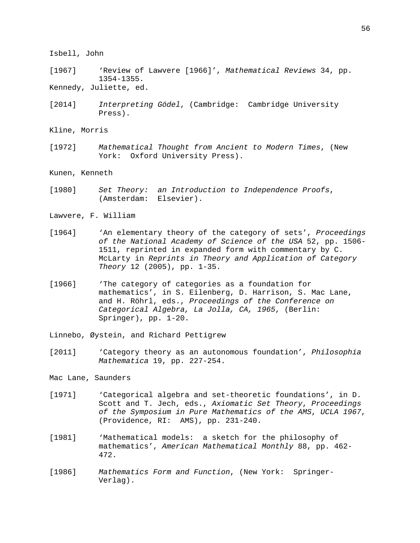### Isbell, John

[1967] 'Review of Lawvere [1966]', *Mathematical Reviews* 34, pp. 1354-1355.

Kennedy, Juliette, ed.

- [2014] *Interpreting Gödel*, (Cambridge: Cambridge University Press).
- Kline, Morris
- [1972] *Mathematical Thought from Ancient to Modern Times*, (New York: Oxford University Press).
- Kunen, Kenneth
- [1980] *Set Theory: an Introduction to Independence Proofs*, (Amsterdam: Elsevier).

Lawvere, F. William

- [1964] 'An elementary theory of the category of sets', *Proceedings of the National Academy of Science of the USA* 52, pp. 1506- 1511, reprinted in expanded form with commentary by C. McLarty in *Reprints in Theory and Application of Category Theory* 12 (2005), pp. 1-35.
- [1966] 'The category of categories as a foundation for mathematics', in S. Eilenberg, D. Harrison, S. Mac Lane, and H. Röhrl, eds., *Proceedings of the Conference on Categorical Algebra, La Jolla, CA, 1965*, (Berlin: Springer), pp. 1-20.
- Linnebo, Øystein, and Richard Pettigrew
- [2011] 'Category theory as an autonomous foundation', *Philosophia Mathematica* 19, pp. 227-254.

Mac Lane, Saunders

- [1971] 'Categorical algebra and set-theoretic foundations', in D. Scott and T. Jech, eds., *Axiomatic Set Theory*, *Proceedings of the Symposium in Pure Mathematics of the AMS*, *UCLA 1967*, (Providence, RI: AMS), pp. 231-240.
- [1981] 'Mathematical models: a sketch for the philosophy of mathematics', *American Mathematical Monthly* 88, pp. 462- 472.
- [1986] *Mathematics Form and Function*, (New York: Springer-Verlag).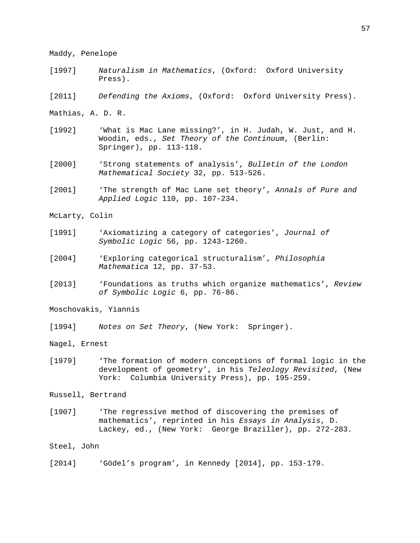Maddy, Penelope

- [1997] *Naturalism in Mathematics*, (Oxford: Oxford University Press).
- [2011] *Defending the Axioms*, (Oxford: Oxford University Press).
- Mathias, A. D. R.
- [1992] 'What is Mac Lane missing?', in H. Judah, W. Just, and H. Woodin, eds., *Set Theory of the Continuum*, (Berlin: Springer), pp. 113-118.
- [2000] 'Strong statements of analysis', *Bulletin of the London Mathematical Society* 32, pp. 513-526.
- [2001] 'The strength of Mac Lane set theory', *Annals of Pure and Applied Logic* 110, pp. 107-234.

McLarty, Colin

- [1991] 'Axiomatizing a category of categories', *Journal of Symbolic Logic* 56, pp. 1243-1260.
- [2004] 'Exploring categorical structuralism', *Philosophia Mathematica* 12, pp. 37-53.
- [2013] 'Foundations as truths which organize mathematics', *Review of Symbolic Logic* 6, pp. 76-86.

Moschovakis, Yiannis

[1994] *Notes on Set Theory*, (New York: Springer).

Nagel, Ernest

[1979] 'The formation of modern conceptions of formal logic in the development of geometry', in his *Teleology Revisited*, (New York: Columbia University Press), pp. 195-259.

Russell, Bertrand

[1907] 'The regressive method of discovering the premises of mathematics', reprinted in his *Essays in Analysis*, D. Lackey, ed., (New York: George Braziller), pp. 272-283.

Steel, John

[2014] 'Gödel's program', in Kennedy [2014], pp. 153-179.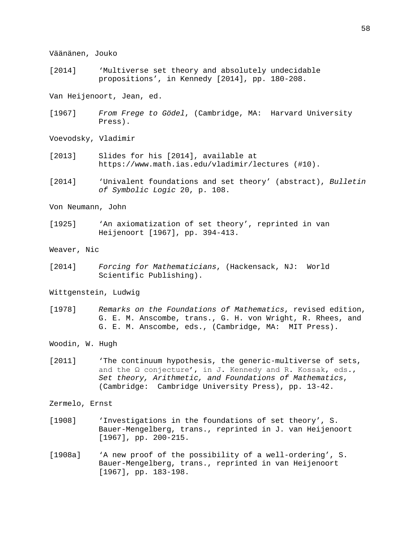Väänänen, Jouko

[2014] 'Multiverse set theory and absolutely undecidable propositions', in Kennedy [2014], pp. 180-208.

Van Heijenoort, Jean, ed.

[1967] *From Frege to Gödel*, (Cambridge, MA: Harvard University Press).

Voevodsky, Vladimir

- [2013] Slides for his [2014], available at https://www.math.ias.edu/vladimir/lectures (#10).
- [2014] 'Univalent foundations and set theory' (abstract), *Bulletin of Symbolic Logic* 20, p. 108.

Von Neumann, John

- [1925] 'An axiomatization of set theory', reprinted in van Heijenoort [1967], pp. 394-413.
- Weaver, Nic
- [2014] *Forcing for Mathematicians*, (Hackensack, NJ: World Scientific Publishing).

Wittgenstein, Ludwig

- [1978] *Remarks on the Foundations of Mathematics*, revised edition, G. E. M. Anscombe, trans., G. H. von Wright, R. Rhees, and G. E. M. Anscombe, eds., (Cambridge, MA: MIT Press).
- Woodin, W. Hugh
- [2011] 'The continuum hypothesis, the generic-multiverse of sets, and the Ω conjecture', in J. Kennedy and R. Kossak, eds., *Set theory, Arithmetic, and Foundations of Mathematics*, (Cambridge: Cambridge University Press), pp. 13-42.
- Zermelo, Ernst
- [1908] 'Investigations in the foundations of set theory', S. Bauer-Mengelberg, trans., reprinted in J. van Heijenoort [1967], pp. 200-215.
- [1908a] 'A new proof of the possibility of a well-ordering', S. Bauer-Mengelberg, trans., reprinted in van Heijenoort [1967], pp. 183-198.